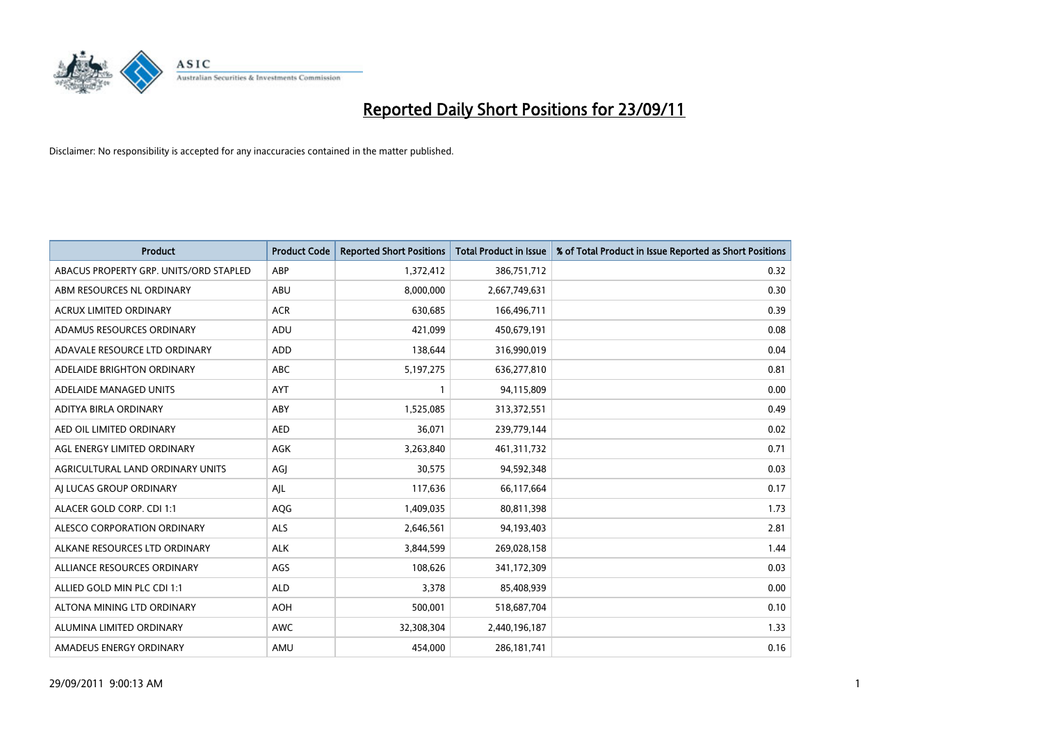

| <b>Product</b>                         | <b>Product Code</b> | <b>Reported Short Positions</b> | <b>Total Product in Issue</b> | % of Total Product in Issue Reported as Short Positions |
|----------------------------------------|---------------------|---------------------------------|-------------------------------|---------------------------------------------------------|
| ABACUS PROPERTY GRP. UNITS/ORD STAPLED | ABP                 | 1,372,412                       | 386,751,712                   | 0.32                                                    |
| ABM RESOURCES NL ORDINARY              | <b>ABU</b>          | 8,000,000                       | 2,667,749,631                 | 0.30                                                    |
| <b>ACRUX LIMITED ORDINARY</b>          | <b>ACR</b>          | 630,685                         | 166,496,711                   | 0.39                                                    |
| ADAMUS RESOURCES ORDINARY              | ADU                 | 421,099                         | 450,679,191                   | 0.08                                                    |
| ADAVALE RESOURCE LTD ORDINARY          | ADD                 | 138,644                         | 316,990,019                   | 0.04                                                    |
| ADELAIDE BRIGHTON ORDINARY             | <b>ABC</b>          | 5,197,275                       | 636,277,810                   | 0.81                                                    |
| ADELAIDE MANAGED UNITS                 | <b>AYT</b>          |                                 | 94,115,809                    | 0.00                                                    |
| ADITYA BIRLA ORDINARY                  | ABY                 | 1,525,085                       | 313,372,551                   | 0.49                                                    |
| AED OIL LIMITED ORDINARY               | <b>AED</b>          | 36,071                          | 239,779,144                   | 0.02                                                    |
| AGL ENERGY LIMITED ORDINARY            | <b>AGK</b>          | 3,263,840                       | 461,311,732                   | 0.71                                                    |
| AGRICULTURAL LAND ORDINARY UNITS       | AGJ                 | 30,575                          | 94,592,348                    | 0.03                                                    |
| AI LUCAS GROUP ORDINARY                | AJL                 | 117,636                         | 66,117,664                    | 0.17                                                    |
| ALACER GOLD CORP. CDI 1:1              | <b>AQG</b>          | 1,409,035                       | 80,811,398                    | 1.73                                                    |
| ALESCO CORPORATION ORDINARY            | <b>ALS</b>          | 2,646,561                       | 94,193,403                    | 2.81                                                    |
| ALKANE RESOURCES LTD ORDINARY          | <b>ALK</b>          | 3,844,599                       | 269,028,158                   | 1.44                                                    |
| ALLIANCE RESOURCES ORDINARY            | AGS                 | 108,626                         | 341,172,309                   | 0.03                                                    |
| ALLIED GOLD MIN PLC CDI 1:1            | <b>ALD</b>          | 3,378                           | 85,408,939                    | 0.00                                                    |
| ALTONA MINING LTD ORDINARY             | <b>AOH</b>          | 500,001                         | 518,687,704                   | 0.10                                                    |
| ALUMINA LIMITED ORDINARY               | <b>AWC</b>          | 32,308,304                      | 2,440,196,187                 | 1.33                                                    |
| AMADEUS ENERGY ORDINARY                | AMU                 | 454.000                         | 286, 181, 741                 | 0.16                                                    |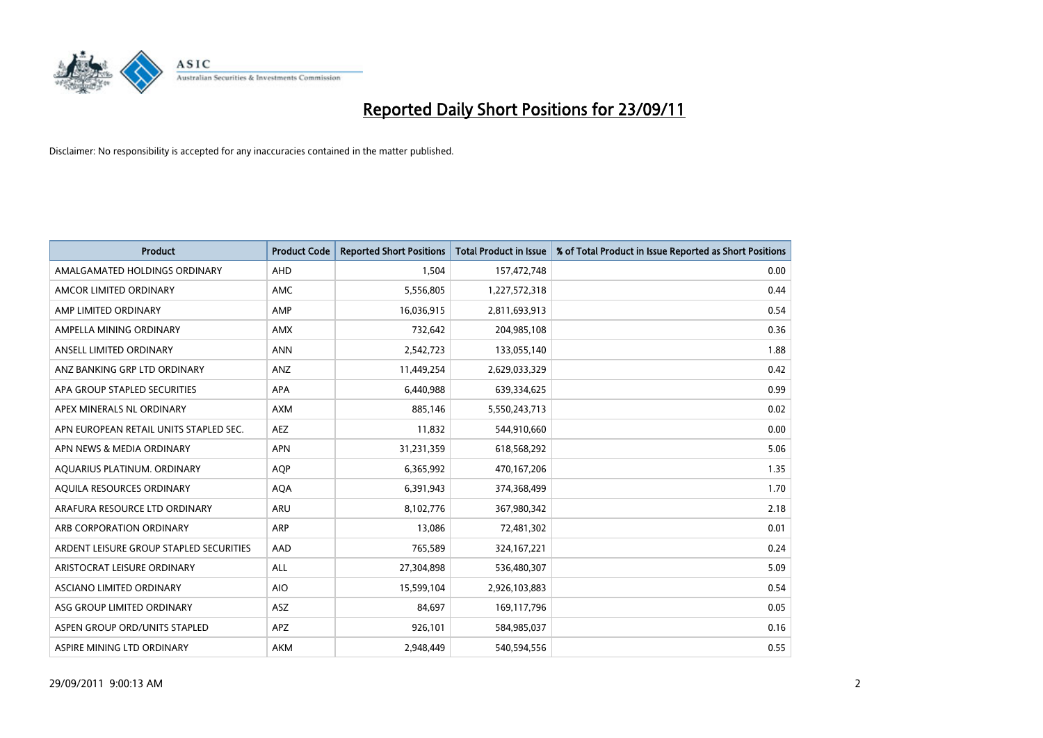

| <b>Product</b>                          | <b>Product Code</b> | <b>Reported Short Positions</b> | <b>Total Product in Issue</b> | % of Total Product in Issue Reported as Short Positions |
|-----------------------------------------|---------------------|---------------------------------|-------------------------------|---------------------------------------------------------|
| AMALGAMATED HOLDINGS ORDINARY           | <b>AHD</b>          | 1,504                           | 157,472,748                   | 0.00                                                    |
| AMCOR LIMITED ORDINARY                  | <b>AMC</b>          | 5,556,805                       | 1,227,572,318                 | 0.44                                                    |
| AMP LIMITED ORDINARY                    | AMP                 | 16,036,915                      | 2,811,693,913                 | 0.54                                                    |
| AMPELLA MINING ORDINARY                 | <b>AMX</b>          | 732,642                         | 204,985,108                   | 0.36                                                    |
| ANSELL LIMITED ORDINARY                 | <b>ANN</b>          | 2,542,723                       | 133,055,140                   | 1.88                                                    |
| ANZ BANKING GRP LTD ORDINARY            | ANZ                 | 11,449,254                      | 2,629,033,329                 | 0.42                                                    |
| APA GROUP STAPLED SECURITIES            | <b>APA</b>          | 6,440,988                       | 639,334,625                   | 0.99                                                    |
| APEX MINERALS NL ORDINARY               | <b>AXM</b>          | 885,146                         | 5,550,243,713                 | 0.02                                                    |
| APN EUROPEAN RETAIL UNITS STAPLED SEC.  | <b>AEZ</b>          | 11,832                          | 544,910,660                   | 0.00                                                    |
| APN NEWS & MEDIA ORDINARY               | <b>APN</b>          | 31,231,359                      | 618,568,292                   | 5.06                                                    |
| AQUARIUS PLATINUM. ORDINARY             | AQP                 | 6,365,992                       | 470,167,206                   | 1.35                                                    |
| AQUILA RESOURCES ORDINARY               | <b>AQA</b>          | 6,391,943                       | 374,368,499                   | 1.70                                                    |
| ARAFURA RESOURCE LTD ORDINARY           | <b>ARU</b>          | 8,102,776                       | 367,980,342                   | 2.18                                                    |
| ARB CORPORATION ORDINARY                | <b>ARP</b>          | 13,086                          | 72,481,302                    | 0.01                                                    |
| ARDENT LEISURE GROUP STAPLED SECURITIES | AAD                 | 765,589                         | 324, 167, 221                 | 0.24                                                    |
| ARISTOCRAT LEISURE ORDINARY             | ALL                 | 27,304,898                      | 536,480,307                   | 5.09                                                    |
| ASCIANO LIMITED ORDINARY                | <b>AIO</b>          | 15,599,104                      | 2,926,103,883                 | 0.54                                                    |
| ASG GROUP LIMITED ORDINARY              | <b>ASZ</b>          | 84,697                          | 169,117,796                   | 0.05                                                    |
| ASPEN GROUP ORD/UNITS STAPLED           | <b>APZ</b>          | 926,101                         | 584,985,037                   | 0.16                                                    |
| ASPIRE MINING LTD ORDINARY              | <b>AKM</b>          | 2,948,449                       | 540,594,556                   | 0.55                                                    |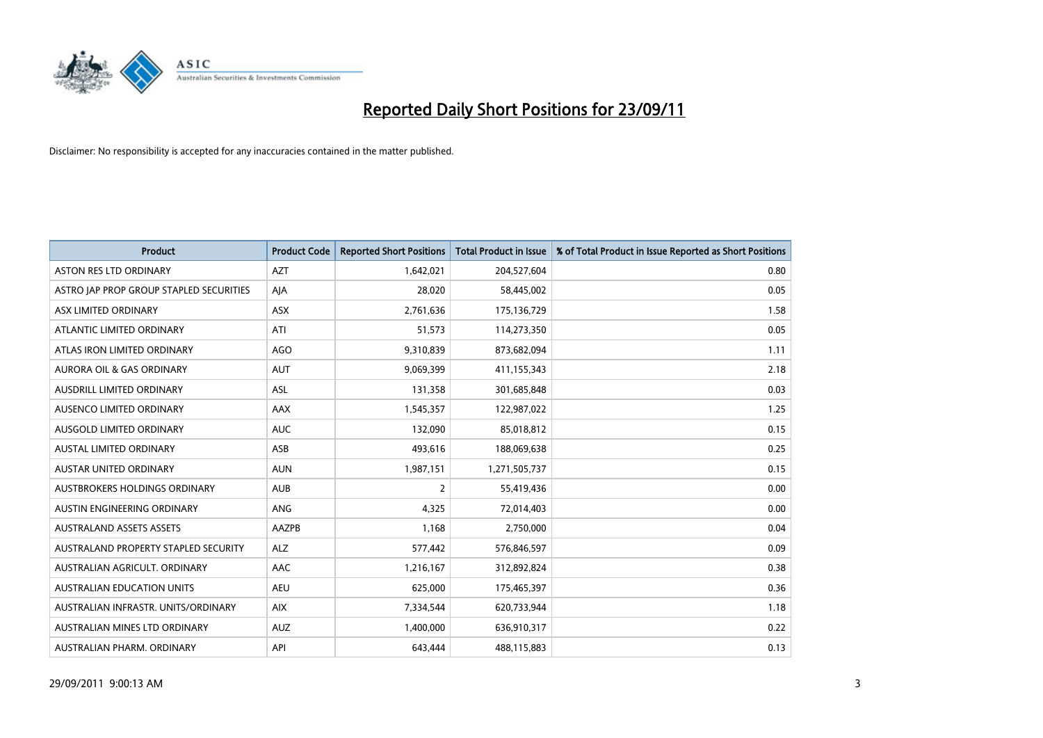

| <b>Product</b>                          | <b>Product Code</b> | <b>Reported Short Positions</b> | <b>Total Product in Issue</b> | % of Total Product in Issue Reported as Short Positions |
|-----------------------------------------|---------------------|---------------------------------|-------------------------------|---------------------------------------------------------|
| <b>ASTON RES LTD ORDINARY</b>           | <b>AZT</b>          | 1,642,021                       | 204,527,604                   | 0.80                                                    |
| ASTRO JAP PROP GROUP STAPLED SECURITIES | AJA                 | 28,020                          | 58,445,002                    | 0.05                                                    |
| ASX LIMITED ORDINARY                    | <b>ASX</b>          | 2,761,636                       | 175,136,729                   | 1.58                                                    |
| ATLANTIC LIMITED ORDINARY               | ATI                 | 51,573                          | 114,273,350                   | 0.05                                                    |
| ATLAS IRON LIMITED ORDINARY             | AGO                 | 9,310,839                       | 873,682,094                   | 1.11                                                    |
| AURORA OIL & GAS ORDINARY               | <b>AUT</b>          | 9,069,399                       | 411,155,343                   | 2.18                                                    |
| AUSDRILL LIMITED ORDINARY               | <b>ASL</b>          | 131,358                         | 301,685,848                   | 0.03                                                    |
| <b>AUSENCO LIMITED ORDINARY</b>         | AAX                 | 1,545,357                       | 122,987,022                   | 1.25                                                    |
| AUSGOLD LIMITED ORDINARY                | <b>AUC</b>          | 132,090                         | 85,018,812                    | 0.15                                                    |
| <b>AUSTAL LIMITED ORDINARY</b>          | ASB                 | 493,616                         | 188,069,638                   | 0.25                                                    |
| <b>AUSTAR UNITED ORDINARY</b>           | <b>AUN</b>          | 1,987,151                       | 1,271,505,737                 | 0.15                                                    |
| <b>AUSTBROKERS HOLDINGS ORDINARY</b>    | <b>AUB</b>          | 2                               | 55,419,436                    | 0.00                                                    |
| AUSTIN ENGINEERING ORDINARY             | ANG                 | 4,325                           | 72,014,403                    | 0.00                                                    |
| <b>AUSTRALAND ASSETS ASSETS</b>         | AAZPB               | 1,168                           | 2,750,000                     | 0.04                                                    |
| AUSTRALAND PROPERTY STAPLED SECURITY    | <b>ALZ</b>          | 577,442                         | 576,846,597                   | 0.09                                                    |
| AUSTRALIAN AGRICULT. ORDINARY           | AAC                 | 1,216,167                       | 312,892,824                   | 0.38                                                    |
| <b>AUSTRALIAN EDUCATION UNITS</b>       | <b>AEU</b>          | 625,000                         | 175,465,397                   | 0.36                                                    |
| AUSTRALIAN INFRASTR. UNITS/ORDINARY     | <b>AIX</b>          | 7,334,544                       | 620,733,944                   | 1.18                                                    |
| AUSTRALIAN MINES LTD ORDINARY           | <b>AUZ</b>          | 1,400,000                       | 636,910,317                   | 0.22                                                    |
| AUSTRALIAN PHARM. ORDINARY              | API                 | 643,444                         | 488,115,883                   | 0.13                                                    |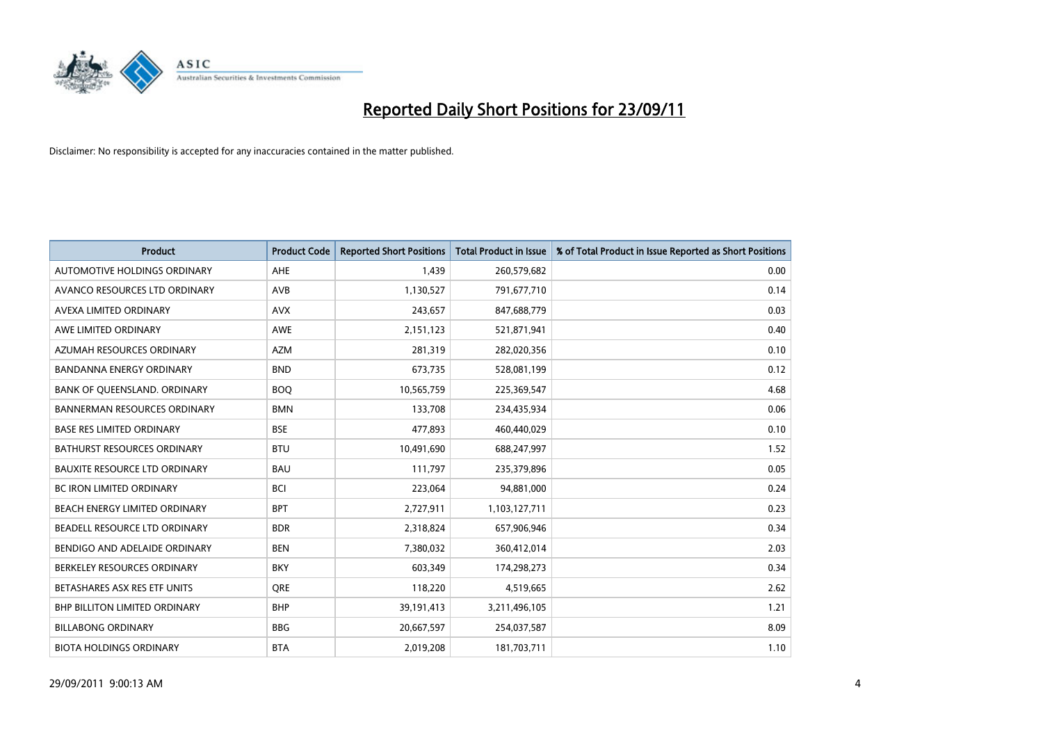

| <b>Product</b>                       | <b>Product Code</b> | <b>Reported Short Positions</b> | Total Product in Issue | % of Total Product in Issue Reported as Short Positions |
|--------------------------------------|---------------------|---------------------------------|------------------------|---------------------------------------------------------|
| <b>AUTOMOTIVE HOLDINGS ORDINARY</b>  | AHE                 | 1.439                           | 260,579,682            | 0.00                                                    |
| AVANCO RESOURCES LTD ORDINARY        | AVB                 | 1,130,527                       | 791,677,710            | 0.14                                                    |
| <b>AVEXA LIMITED ORDINARY</b>        | <b>AVX</b>          | 243,657                         | 847,688,779            | 0.03                                                    |
| AWE LIMITED ORDINARY                 | <b>AWE</b>          | 2,151,123                       | 521,871,941            | 0.40                                                    |
| AZUMAH RESOURCES ORDINARY            | <b>AZM</b>          | 281,319                         | 282,020,356            | 0.10                                                    |
| BANDANNA ENERGY ORDINARY             | <b>BND</b>          | 673,735                         | 528,081,199            | 0.12                                                    |
| BANK OF QUEENSLAND. ORDINARY         | <b>BOO</b>          | 10,565,759                      | 225,369,547            | 4.68                                                    |
| <b>BANNERMAN RESOURCES ORDINARY</b>  | <b>BMN</b>          | 133,708                         | 234,435,934            | 0.06                                                    |
| <b>BASE RES LIMITED ORDINARY</b>     | <b>BSE</b>          | 477.893                         | 460,440,029            | 0.10                                                    |
| <b>BATHURST RESOURCES ORDINARY</b>   | <b>BTU</b>          | 10,491,690                      | 688,247,997            | 1.52                                                    |
| <b>BAUXITE RESOURCE LTD ORDINARY</b> | <b>BAU</b>          | 111,797                         | 235,379,896            | 0.05                                                    |
| <b>BC IRON LIMITED ORDINARY</b>      | <b>BCI</b>          | 223,064                         | 94,881,000             | 0.24                                                    |
| BEACH ENERGY LIMITED ORDINARY        | <b>BPT</b>          | 2,727,911                       | 1,103,127,711          | 0.23                                                    |
| BEADELL RESOURCE LTD ORDINARY        | <b>BDR</b>          | 2,318,824                       | 657,906,946            | 0.34                                                    |
| BENDIGO AND ADELAIDE ORDINARY        | <b>BEN</b>          | 7,380,032                       | 360,412,014            | 2.03                                                    |
| BERKELEY RESOURCES ORDINARY          | <b>BKY</b>          | 603,349                         | 174,298,273            | 0.34                                                    |
| BETASHARES ASX RES ETF UNITS         | <b>ORE</b>          | 118,220                         | 4,519,665              | 2.62                                                    |
| <b>BHP BILLITON LIMITED ORDINARY</b> | <b>BHP</b>          | 39,191,413                      | 3,211,496,105          | 1.21                                                    |
| <b>BILLABONG ORDINARY</b>            | <b>BBG</b>          | 20,667,597                      | 254,037,587            | 8.09                                                    |
| <b>BIOTA HOLDINGS ORDINARY</b>       | <b>BTA</b>          | 2,019,208                       | 181,703,711            | 1.10                                                    |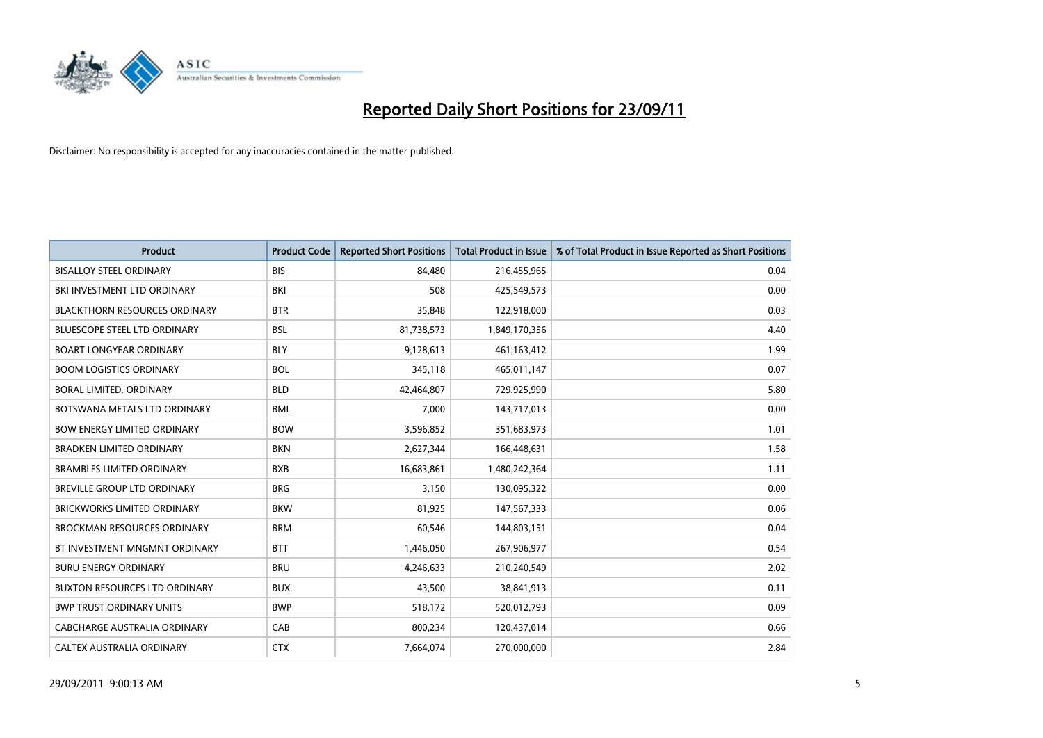

| <b>Product</b>                       | <b>Product Code</b> | <b>Reported Short Positions</b> | <b>Total Product in Issue</b> | % of Total Product in Issue Reported as Short Positions |
|--------------------------------------|---------------------|---------------------------------|-------------------------------|---------------------------------------------------------|
| <b>BISALLOY STEEL ORDINARY</b>       | <b>BIS</b>          | 84,480                          | 216,455,965                   | 0.04                                                    |
| BKI INVESTMENT LTD ORDINARY          | BKI                 | 508                             | 425,549,573                   | 0.00                                                    |
| <b>BLACKTHORN RESOURCES ORDINARY</b> | <b>BTR</b>          | 35,848                          | 122,918,000                   | 0.03                                                    |
| BLUESCOPE STEEL LTD ORDINARY         | <b>BSL</b>          | 81,738,573                      | 1,849,170,356                 | 4.40                                                    |
| <b>BOART LONGYEAR ORDINARY</b>       | <b>BLY</b>          | 9,128,613                       | 461,163,412                   | 1.99                                                    |
| <b>BOOM LOGISTICS ORDINARY</b>       | <b>BOL</b>          | 345,118                         | 465,011,147                   | 0.07                                                    |
| <b>BORAL LIMITED, ORDINARY</b>       | <b>BLD</b>          | 42,464,807                      | 729,925,990                   | 5.80                                                    |
| BOTSWANA METALS LTD ORDINARY         | <b>BML</b>          | 7,000                           | 143,717,013                   | 0.00                                                    |
| <b>BOW ENERGY LIMITED ORDINARY</b>   | <b>BOW</b>          | 3,596,852                       | 351,683,973                   | 1.01                                                    |
| <b>BRADKEN LIMITED ORDINARY</b>      | <b>BKN</b>          | 2,627,344                       | 166,448,631                   | 1.58                                                    |
| <b>BRAMBLES LIMITED ORDINARY</b>     | <b>BXB</b>          | 16,683,861                      | 1,480,242,364                 | 1.11                                                    |
| <b>BREVILLE GROUP LTD ORDINARY</b>   | <b>BRG</b>          | 3,150                           | 130,095,322                   | 0.00                                                    |
| BRICKWORKS LIMITED ORDINARY          | <b>BKW</b>          | 81,925                          | 147,567,333                   | 0.06                                                    |
| <b>BROCKMAN RESOURCES ORDINARY</b>   | <b>BRM</b>          | 60,546                          | 144,803,151                   | 0.04                                                    |
| BT INVESTMENT MNGMNT ORDINARY        | <b>BTT</b>          | 1,446,050                       | 267,906,977                   | 0.54                                                    |
| <b>BURU ENERGY ORDINARY</b>          | <b>BRU</b>          | 4,246,633                       | 210,240,549                   | 2.02                                                    |
| <b>BUXTON RESOURCES LTD ORDINARY</b> | <b>BUX</b>          | 43,500                          | 38,841,913                    | 0.11                                                    |
| <b>BWP TRUST ORDINARY UNITS</b>      | <b>BWP</b>          | 518,172                         | 520,012,793                   | 0.09                                                    |
| CABCHARGE AUSTRALIA ORDINARY         | CAB                 | 800,234                         | 120,437,014                   | 0.66                                                    |
| CALTEX AUSTRALIA ORDINARY            | <b>CTX</b>          | 7,664,074                       | 270,000,000                   | 2.84                                                    |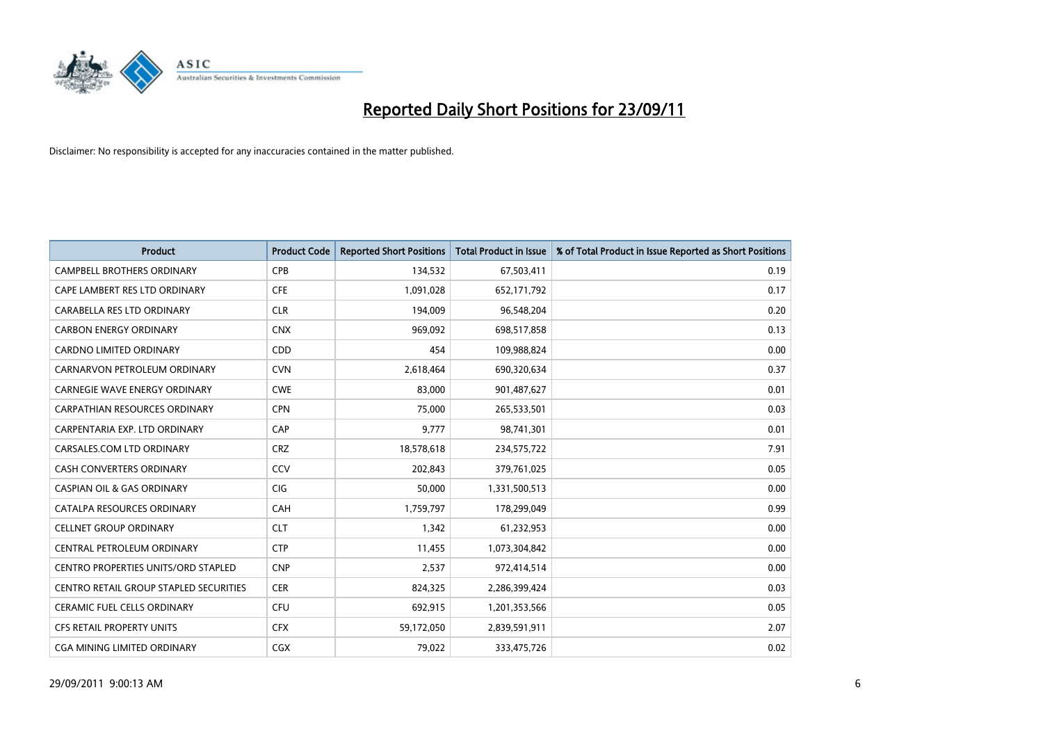

| <b>Product</b>                         | <b>Product Code</b> | <b>Reported Short Positions</b> | <b>Total Product in Issue</b> | % of Total Product in Issue Reported as Short Positions |
|----------------------------------------|---------------------|---------------------------------|-------------------------------|---------------------------------------------------------|
| <b>CAMPBELL BROTHERS ORDINARY</b>      | <b>CPB</b>          | 134,532                         | 67,503,411                    | 0.19                                                    |
| CAPE LAMBERT RES LTD ORDINARY          | <b>CFE</b>          | 1,091,028                       | 652,171,792                   | 0.17                                                    |
| CARABELLA RES LTD ORDINARY             | <b>CLR</b>          | 194,009                         | 96,548,204                    | 0.20                                                    |
| <b>CARBON ENERGY ORDINARY</b>          | <b>CNX</b>          | 969,092                         | 698,517,858                   | 0.13                                                    |
| <b>CARDNO LIMITED ORDINARY</b>         | CDD                 | 454                             | 109,988,824                   | 0.00                                                    |
| CARNARVON PETROLEUM ORDINARY           | <b>CVN</b>          | 2,618,464                       | 690,320,634                   | 0.37                                                    |
| <b>CARNEGIE WAVE ENERGY ORDINARY</b>   | <b>CWE</b>          | 83,000                          | 901,487,627                   | 0.01                                                    |
| CARPATHIAN RESOURCES ORDINARY          | <b>CPN</b>          | 75,000                          | 265,533,501                   | 0.03                                                    |
| CARPENTARIA EXP. LTD ORDINARY          | CAP                 | 9,777                           | 98,741,301                    | 0.01                                                    |
| CARSALES.COM LTD ORDINARY              | <b>CRZ</b>          | 18,578,618                      | 234,575,722                   | 7.91                                                    |
| CASH CONVERTERS ORDINARY               | CCV                 | 202,843                         | 379,761,025                   | 0.05                                                    |
| <b>CASPIAN OIL &amp; GAS ORDINARY</b>  | <b>CIG</b>          | 50,000                          | 1,331,500,513                 | 0.00                                                    |
| CATALPA RESOURCES ORDINARY             | CAH                 | 1,759,797                       | 178,299,049                   | 0.99                                                    |
| <b>CELLNET GROUP ORDINARY</b>          | <b>CLT</b>          | 1,342                           | 61,232,953                    | 0.00                                                    |
| CENTRAL PETROLEUM ORDINARY             | <b>CTP</b>          | 11,455                          | 1,073,304,842                 | 0.00                                                    |
| CENTRO PROPERTIES UNITS/ORD STAPLED    | <b>CNP</b>          | 2,537                           | 972,414,514                   | 0.00                                                    |
| CENTRO RETAIL GROUP STAPLED SECURITIES | <b>CER</b>          | 824,325                         | 2,286,399,424                 | 0.03                                                    |
| CERAMIC FUEL CELLS ORDINARY            | <b>CFU</b>          | 692,915                         | 1,201,353,566                 | 0.05                                                    |
| <b>CFS RETAIL PROPERTY UNITS</b>       | <b>CFX</b>          | 59,172,050                      | 2,839,591,911                 | 2.07                                                    |
| <b>CGA MINING LIMITED ORDINARY</b>     | <b>CGX</b>          | 79,022                          | 333,475,726                   | 0.02                                                    |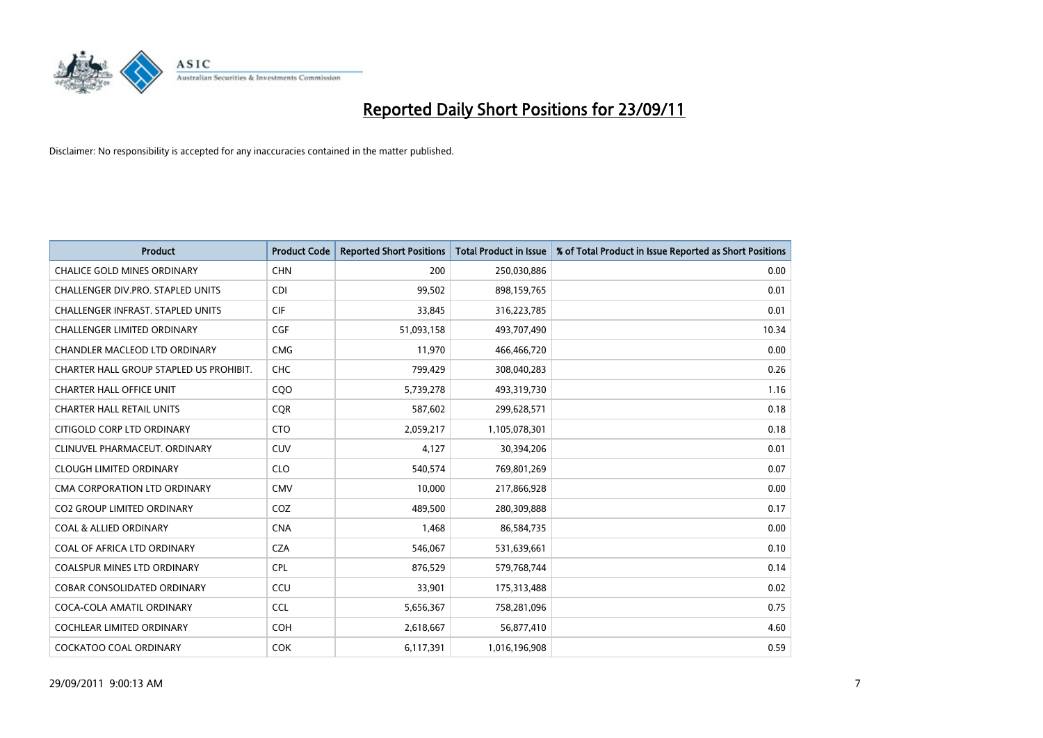

| <b>Product</b>                           | <b>Product Code</b> | <b>Reported Short Positions</b> | <b>Total Product in Issue</b> | % of Total Product in Issue Reported as Short Positions |
|------------------------------------------|---------------------|---------------------------------|-------------------------------|---------------------------------------------------------|
| <b>CHALICE GOLD MINES ORDINARY</b>       | <b>CHN</b>          | 200                             | 250,030,886                   | 0.00                                                    |
| <b>CHALLENGER DIV.PRO. STAPLED UNITS</b> | CDI                 | 99,502                          | 898,159,765                   | 0.01                                                    |
| <b>CHALLENGER INFRAST, STAPLED UNITS</b> | <b>CIF</b>          | 33,845                          | 316,223,785                   | 0.01                                                    |
| CHALLENGER LIMITED ORDINARY              | <b>CGF</b>          | 51,093,158                      | 493,707,490                   | 10.34                                                   |
| CHANDLER MACLEOD LTD ORDINARY            | <b>CMG</b>          | 11,970                          | 466,466,720                   | 0.00                                                    |
| CHARTER HALL GROUP STAPLED US PROHIBIT.  | <b>CHC</b>          | 799,429                         | 308,040,283                   | 0.26                                                    |
| CHARTER HALL OFFICE UNIT                 | COO                 | 5,739,278                       | 493,319,730                   | 1.16                                                    |
| <b>CHARTER HALL RETAIL UNITS</b>         | <b>COR</b>          | 587,602                         | 299,628,571                   | 0.18                                                    |
| CITIGOLD CORP LTD ORDINARY               | <b>CTO</b>          | 2,059,217                       | 1,105,078,301                 | 0.18                                                    |
| CLINUVEL PHARMACEUT, ORDINARY            | <b>CUV</b>          | 4,127                           | 30,394,206                    | 0.01                                                    |
| <b>CLOUGH LIMITED ORDINARY</b>           | <b>CLO</b>          | 540,574                         | 769,801,269                   | 0.07                                                    |
| CMA CORPORATION LTD ORDINARY             | <b>CMV</b>          | 10,000                          | 217,866,928                   | 0.00                                                    |
| <b>CO2 GROUP LIMITED ORDINARY</b>        | COZ                 | 489,500                         | 280,309,888                   | 0.17                                                    |
| <b>COAL &amp; ALLIED ORDINARY</b>        | <b>CNA</b>          | 1,468                           | 86,584,735                    | 0.00                                                    |
| COAL OF AFRICA LTD ORDINARY              | <b>CZA</b>          | 546,067                         | 531,639,661                   | 0.10                                                    |
| <b>COALSPUR MINES LTD ORDINARY</b>       | <b>CPL</b>          | 876,529                         | 579,768,744                   | 0.14                                                    |
| COBAR CONSOLIDATED ORDINARY              | CCU                 | 33,901                          | 175,313,488                   | 0.02                                                    |
| COCA-COLA AMATIL ORDINARY                | <b>CCL</b>          | 5,656,367                       | 758,281,096                   | 0.75                                                    |
| <b>COCHLEAR LIMITED ORDINARY</b>         | <b>COH</b>          | 2,618,667                       | 56,877,410                    | 4.60                                                    |
| COCKATOO COAL ORDINARY                   | <b>COK</b>          | 6,117,391                       | 1,016,196,908                 | 0.59                                                    |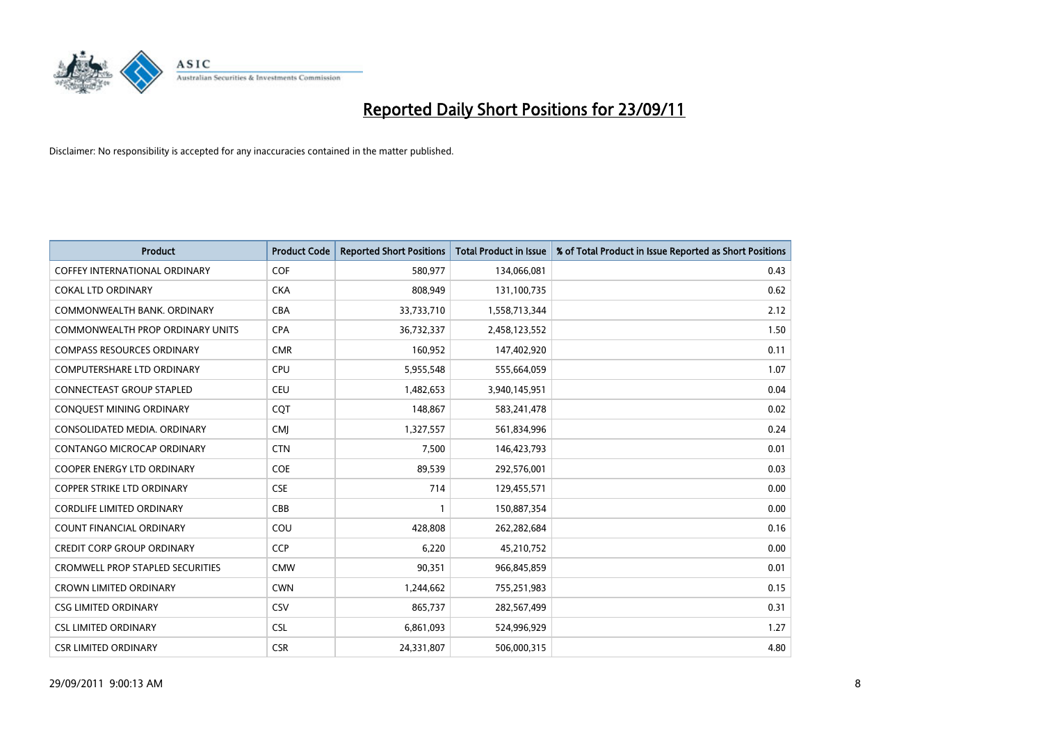

| <b>Product</b>                          | <b>Product Code</b> | <b>Reported Short Positions</b> | <b>Total Product in Issue</b> | % of Total Product in Issue Reported as Short Positions |
|-----------------------------------------|---------------------|---------------------------------|-------------------------------|---------------------------------------------------------|
| COFFEY INTERNATIONAL ORDINARY           | <b>COF</b>          | 580,977                         | 134,066,081                   | 0.43                                                    |
| <b>COKAL LTD ORDINARY</b>               | <b>CKA</b>          | 808,949                         | 131,100,735                   | 0.62                                                    |
| COMMONWEALTH BANK, ORDINARY             | <b>CBA</b>          | 33,733,710                      | 1,558,713,344                 | 2.12                                                    |
| COMMONWEALTH PROP ORDINARY UNITS        | <b>CPA</b>          | 36,732,337                      | 2,458,123,552                 | 1.50                                                    |
| <b>COMPASS RESOURCES ORDINARY</b>       | <b>CMR</b>          | 160,952                         | 147,402,920                   | 0.11                                                    |
| <b>COMPUTERSHARE LTD ORDINARY</b>       | CPU                 | 5,955,548                       | 555,664,059                   | 1.07                                                    |
| <b>CONNECTEAST GROUP STAPLED</b>        | <b>CEU</b>          | 1,482,653                       | 3,940,145,951                 | 0.04                                                    |
| CONQUEST MINING ORDINARY                | CQT                 | 148,867                         | 583,241,478                   | 0.02                                                    |
| CONSOLIDATED MEDIA. ORDINARY            | <b>CMI</b>          | 1,327,557                       | 561,834,996                   | 0.24                                                    |
| CONTANGO MICROCAP ORDINARY              | <b>CTN</b>          | 7,500                           | 146,423,793                   | 0.01                                                    |
| COOPER ENERGY LTD ORDINARY              | <b>COE</b>          | 89,539                          | 292,576,001                   | 0.03                                                    |
| <b>COPPER STRIKE LTD ORDINARY</b>       | <b>CSE</b>          | 714                             | 129,455,571                   | 0.00                                                    |
| <b>CORDLIFE LIMITED ORDINARY</b>        | CBB                 |                                 | 150,887,354                   | 0.00                                                    |
| <b>COUNT FINANCIAL ORDINARY</b>         | COU                 | 428,808                         | 262,282,684                   | 0.16                                                    |
| <b>CREDIT CORP GROUP ORDINARY</b>       | <b>CCP</b>          | 6,220                           | 45,210,752                    | 0.00                                                    |
| <b>CROMWELL PROP STAPLED SECURITIES</b> | <b>CMW</b>          | 90,351                          | 966,845,859                   | 0.01                                                    |
| <b>CROWN LIMITED ORDINARY</b>           | <b>CWN</b>          | 1,244,662                       | 755,251,983                   | 0.15                                                    |
| <b>CSG LIMITED ORDINARY</b>             | CSV                 | 865,737                         | 282,567,499                   | 0.31                                                    |
| <b>CSL LIMITED ORDINARY</b>             | <b>CSL</b>          | 6,861,093                       | 524,996,929                   | 1.27                                                    |
| <b>CSR LIMITED ORDINARY</b>             | <b>CSR</b>          | 24,331,807                      | 506.000.315                   | 4.80                                                    |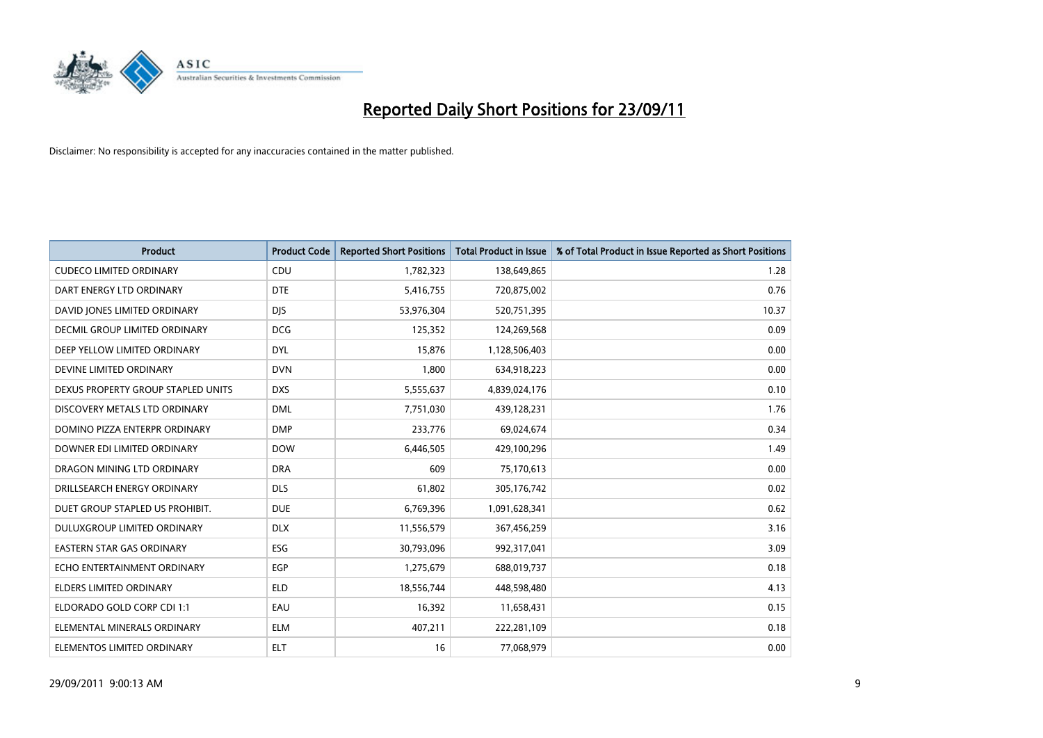

| <b>Product</b>                       | <b>Product Code</b> | <b>Reported Short Positions</b> | <b>Total Product in Issue</b> | % of Total Product in Issue Reported as Short Positions |
|--------------------------------------|---------------------|---------------------------------|-------------------------------|---------------------------------------------------------|
| <b>CUDECO LIMITED ORDINARY</b>       | CDU                 | 1,782,323                       | 138,649,865                   | 1.28                                                    |
| DART ENERGY LTD ORDINARY             | <b>DTE</b>          | 5,416,755                       | 720,875,002                   | 0.76                                                    |
| DAVID JONES LIMITED ORDINARY         | <b>DJS</b>          | 53,976,304                      | 520,751,395                   | 10.37                                                   |
| <b>DECMIL GROUP LIMITED ORDINARY</b> | <b>DCG</b>          | 125,352                         | 124,269,568                   | 0.09                                                    |
| DEEP YELLOW LIMITED ORDINARY         | <b>DYL</b>          | 15,876                          | 1,128,506,403                 | 0.00                                                    |
| DEVINE LIMITED ORDINARY              | <b>DVN</b>          | 1,800                           | 634,918,223                   | 0.00                                                    |
| DEXUS PROPERTY GROUP STAPLED UNITS   | <b>DXS</b>          | 5,555,637                       | 4,839,024,176                 | 0.10                                                    |
| DISCOVERY METALS LTD ORDINARY        | <b>DML</b>          | 7,751,030                       | 439,128,231                   | 1.76                                                    |
| DOMINO PIZZA ENTERPR ORDINARY        | <b>DMP</b>          | 233,776                         | 69,024,674                    | 0.34                                                    |
| DOWNER EDI LIMITED ORDINARY          | <b>DOW</b>          | 6,446,505                       | 429,100,296                   | 1.49                                                    |
| DRAGON MINING LTD ORDINARY           | <b>DRA</b>          | 609                             | 75,170,613                    | 0.00                                                    |
| DRILLSEARCH ENERGY ORDINARY          | <b>DLS</b>          | 61,802                          | 305,176,742                   | 0.02                                                    |
| DUET GROUP STAPLED US PROHIBIT.      | <b>DUE</b>          | 6,769,396                       | 1,091,628,341                 | 0.62                                                    |
| DULUXGROUP LIMITED ORDINARY          | <b>DLX</b>          | 11,556,579                      | 367,456,259                   | 3.16                                                    |
| <b>EASTERN STAR GAS ORDINARY</b>     | <b>ESG</b>          | 30,793,096                      | 992,317,041                   | 3.09                                                    |
| ECHO ENTERTAINMENT ORDINARY          | <b>EGP</b>          | 1,275,679                       | 688,019,737                   | 0.18                                                    |
| ELDERS LIMITED ORDINARY              | <b>ELD</b>          | 18,556,744                      | 448,598,480                   | 4.13                                                    |
| ELDORADO GOLD CORP CDI 1:1           | EAU                 | 16,392                          | 11,658,431                    | 0.15                                                    |
| ELEMENTAL MINERALS ORDINARY          | <b>ELM</b>          | 407,211                         | 222,281,109                   | 0.18                                                    |
| ELEMENTOS LIMITED ORDINARY           | <b>ELT</b>          | 16                              | 77,068,979                    | 0.00                                                    |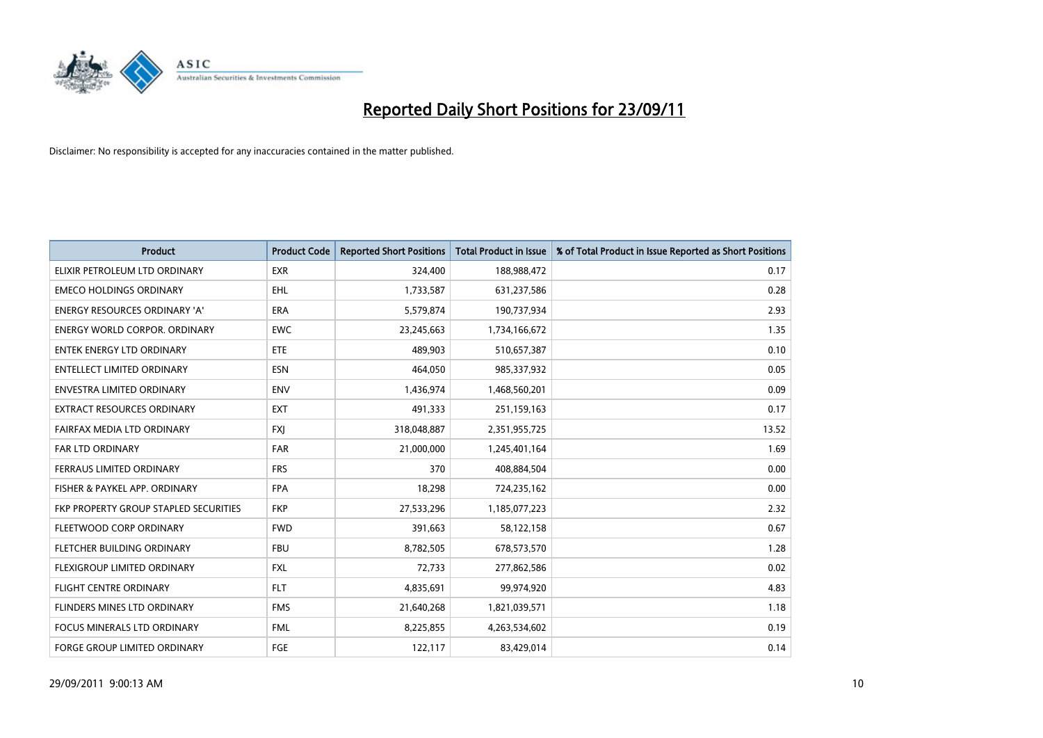

| <b>Product</b>                        | <b>Product Code</b> | <b>Reported Short Positions</b> | <b>Total Product in Issue</b> | % of Total Product in Issue Reported as Short Positions |
|---------------------------------------|---------------------|---------------------------------|-------------------------------|---------------------------------------------------------|
| ELIXIR PETROLEUM LTD ORDINARY         | <b>EXR</b>          | 324,400                         | 188,988,472                   | 0.17                                                    |
| <b>EMECO HOLDINGS ORDINARY</b>        | <b>EHL</b>          | 1,733,587                       | 631,237,586                   | 0.28                                                    |
| <b>ENERGY RESOURCES ORDINARY 'A'</b>  | <b>ERA</b>          | 5,579,874                       | 190,737,934                   | 2.93                                                    |
| ENERGY WORLD CORPOR. ORDINARY         | <b>EWC</b>          | 23,245,663                      | 1,734,166,672                 | 1.35                                                    |
| <b>ENTEK ENERGY LTD ORDINARY</b>      | ETE                 | 489,903                         | 510,657,387                   | 0.10                                                    |
| <b>ENTELLECT LIMITED ORDINARY</b>     | <b>ESN</b>          | 464,050                         | 985,337,932                   | 0.05                                                    |
| ENVESTRA LIMITED ORDINARY             | <b>ENV</b>          | 1,436,974                       | 1,468,560,201                 | 0.09                                                    |
| EXTRACT RESOURCES ORDINARY            | <b>EXT</b>          | 491,333                         | 251,159,163                   | 0.17                                                    |
| FAIRFAX MEDIA LTD ORDINARY            | <b>FXI</b>          | 318,048,887                     | 2,351,955,725                 | 13.52                                                   |
| <b>FAR LTD ORDINARY</b>               | <b>FAR</b>          | 21,000,000                      | 1,245,401,164                 | 1.69                                                    |
| FERRAUS LIMITED ORDINARY              | <b>FRS</b>          | 370                             | 408,884,504                   | 0.00                                                    |
| FISHER & PAYKEL APP. ORDINARY         | <b>FPA</b>          | 18,298                          | 724,235,162                   | 0.00                                                    |
| FKP PROPERTY GROUP STAPLED SECURITIES | <b>FKP</b>          | 27,533,296                      | 1,185,077,223                 | 2.32                                                    |
| FLEETWOOD CORP ORDINARY               | <b>FWD</b>          | 391,663                         | 58,122,158                    | 0.67                                                    |
| FLETCHER BUILDING ORDINARY            | <b>FBU</b>          | 8,782,505                       | 678,573,570                   | 1.28                                                    |
| FLEXIGROUP LIMITED ORDINARY           | <b>FXL</b>          | 72,733                          | 277,862,586                   | 0.02                                                    |
| FLIGHT CENTRE ORDINARY                | <b>FLT</b>          | 4,835,691                       | 99,974,920                    | 4.83                                                    |
| FLINDERS MINES LTD ORDINARY           | <b>FMS</b>          | 21,640,268                      | 1,821,039,571                 | 1.18                                                    |
| <b>FOCUS MINERALS LTD ORDINARY</b>    | <b>FML</b>          | 8,225,855                       | 4,263,534,602                 | 0.19                                                    |
| FORGE GROUP LIMITED ORDINARY          | FGE                 | 122,117                         | 83,429,014                    | 0.14                                                    |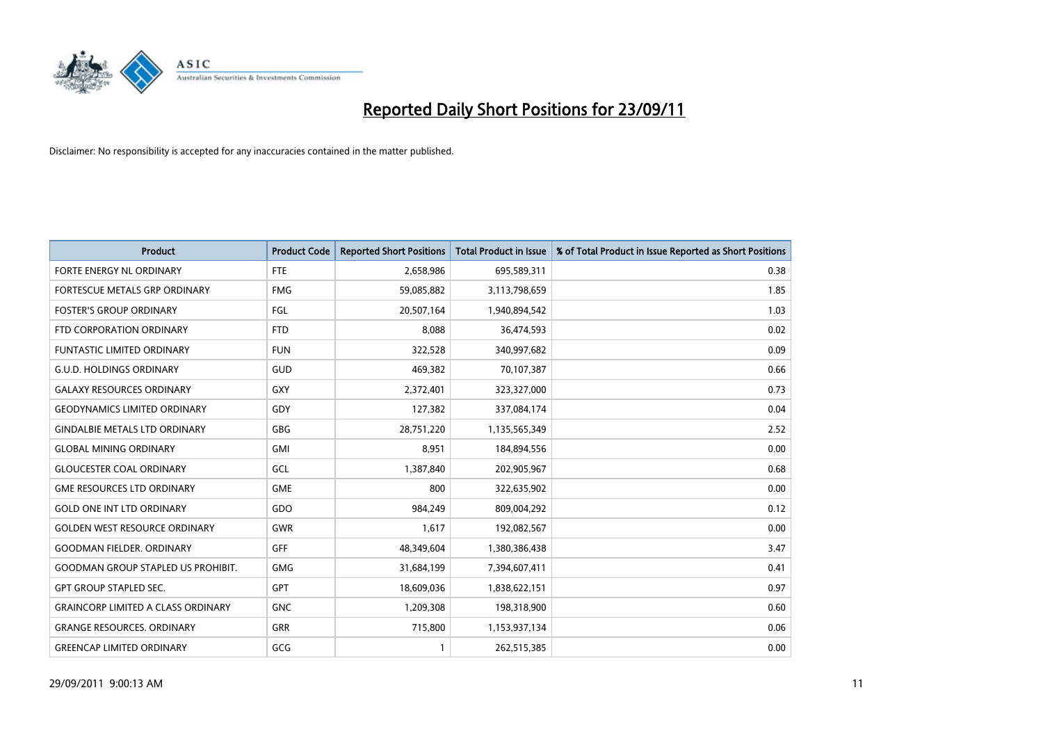

| <b>Product</b>                            | <b>Product Code</b> | <b>Reported Short Positions</b> | <b>Total Product in Issue</b> | % of Total Product in Issue Reported as Short Positions |
|-------------------------------------------|---------------------|---------------------------------|-------------------------------|---------------------------------------------------------|
| FORTE ENERGY NL ORDINARY                  | <b>FTE</b>          | 2,658,986                       | 695,589,311                   | 0.38                                                    |
| FORTESCUE METALS GRP ORDINARY             | <b>FMG</b>          | 59,085,882                      | 3,113,798,659                 | 1.85                                                    |
| <b>FOSTER'S GROUP ORDINARY</b>            | FGL                 | 20,507,164                      | 1,940,894,542                 | 1.03                                                    |
| FTD CORPORATION ORDINARY                  | <b>FTD</b>          | 8,088                           | 36,474,593                    | 0.02                                                    |
| <b>FUNTASTIC LIMITED ORDINARY</b>         | <b>FUN</b>          | 322,528                         | 340,997,682                   | 0.09                                                    |
| <b>G.U.D. HOLDINGS ORDINARY</b>           | GUD                 | 469,382                         | 70,107,387                    | 0.66                                                    |
| <b>GALAXY RESOURCES ORDINARY</b>          | <b>GXY</b>          | 2,372,401                       | 323,327,000                   | 0.73                                                    |
| <b>GEODYNAMICS LIMITED ORDINARY</b>       | GDY                 | 127,382                         | 337,084,174                   | 0.04                                                    |
| <b>GINDALBIE METALS LTD ORDINARY</b>      | <b>GBG</b>          | 28,751,220                      | 1,135,565,349                 | 2.52                                                    |
| <b>GLOBAL MINING ORDINARY</b>             | <b>GMI</b>          | 8,951                           | 184,894,556                   | 0.00                                                    |
| <b>GLOUCESTER COAL ORDINARY</b>           | GCL                 | 1,387,840                       | 202,905,967                   | 0.68                                                    |
| <b>GME RESOURCES LTD ORDINARY</b>         | <b>GME</b>          | 800                             | 322,635,902                   | 0.00                                                    |
| <b>GOLD ONE INT LTD ORDINARY</b>          | GDO                 | 984,249                         | 809,004,292                   | 0.12                                                    |
| <b>GOLDEN WEST RESOURCE ORDINARY</b>      | <b>GWR</b>          | 1,617                           | 192,082,567                   | 0.00                                                    |
| <b>GOODMAN FIELDER, ORDINARY</b>          | GFF                 | 48,349,604                      | 1,380,386,438                 | 3.47                                                    |
| <b>GOODMAN GROUP STAPLED US PROHIBIT.</b> | <b>GMG</b>          | 31,684,199                      | 7,394,607,411                 | 0.41                                                    |
| <b>GPT GROUP STAPLED SEC.</b>             | <b>GPT</b>          | 18,609,036                      | 1,838,622,151                 | 0.97                                                    |
| <b>GRAINCORP LIMITED A CLASS ORDINARY</b> | <b>GNC</b>          | 1,209,308                       | 198,318,900                   | 0.60                                                    |
| <b>GRANGE RESOURCES. ORDINARY</b>         | <b>GRR</b>          | 715,800                         | 1,153,937,134                 | 0.06                                                    |
| <b>GREENCAP LIMITED ORDINARY</b>          | GCG                 |                                 | 262,515,385                   | 0.00                                                    |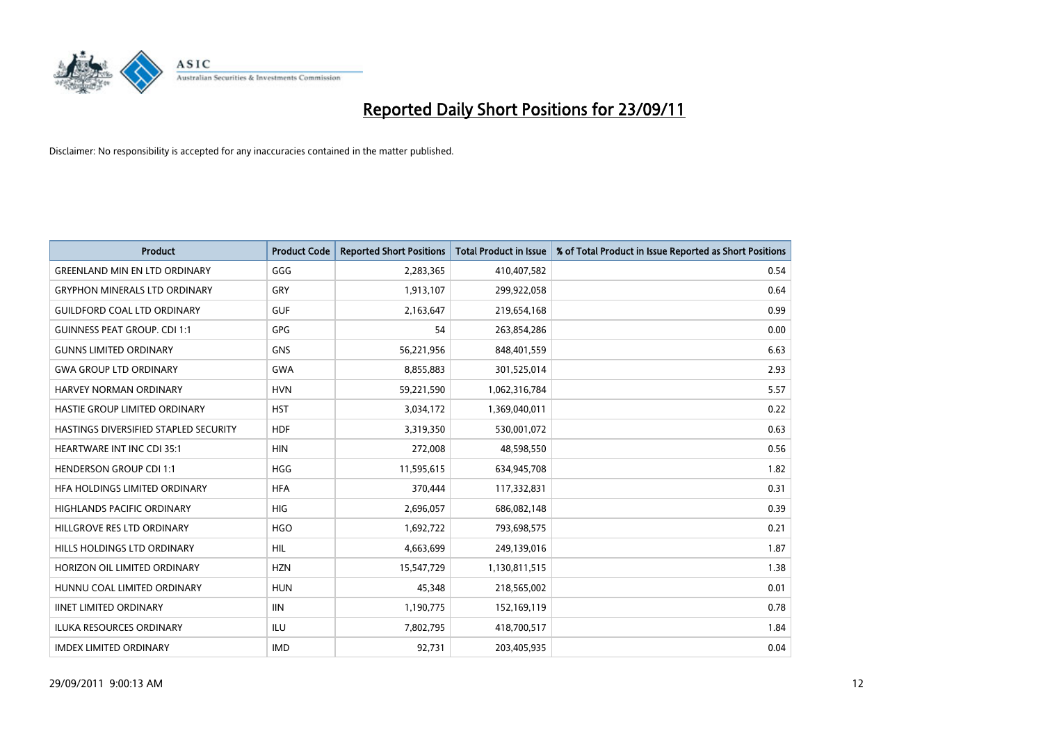

| <b>Product</b>                        | <b>Product Code</b> | <b>Reported Short Positions</b> | <b>Total Product in Issue</b> | % of Total Product in Issue Reported as Short Positions |
|---------------------------------------|---------------------|---------------------------------|-------------------------------|---------------------------------------------------------|
| <b>GREENLAND MIN EN LTD ORDINARY</b>  | GGG                 | 2,283,365                       | 410,407,582                   | 0.54                                                    |
| <b>GRYPHON MINERALS LTD ORDINARY</b>  | GRY                 | 1,913,107                       | 299,922,058                   | 0.64                                                    |
| <b>GUILDFORD COAL LTD ORDINARY</b>    | <b>GUF</b>          | 2,163,647                       | 219,654,168                   | 0.99                                                    |
| <b>GUINNESS PEAT GROUP. CDI 1:1</b>   | <b>GPG</b>          | 54                              | 263,854,286                   | 0.00                                                    |
| <b>GUNNS LIMITED ORDINARY</b>         | <b>GNS</b>          | 56,221,956                      | 848,401,559                   | 6.63                                                    |
| <b>GWA GROUP LTD ORDINARY</b>         | <b>GWA</b>          | 8,855,883                       | 301,525,014                   | 2.93                                                    |
| HARVEY NORMAN ORDINARY                | <b>HVN</b>          | 59,221,590                      | 1,062,316,784                 | 5.57                                                    |
| HASTIE GROUP LIMITED ORDINARY         | <b>HST</b>          | 3,034,172                       | 1,369,040,011                 | 0.22                                                    |
| HASTINGS DIVERSIFIED STAPLED SECURITY | <b>HDF</b>          | 3,319,350                       | 530,001,072                   | 0.63                                                    |
| <b>HEARTWARE INT INC CDI 35:1</b>     | <b>HIN</b>          | 272,008                         | 48,598,550                    | 0.56                                                    |
| <b>HENDERSON GROUP CDI 1:1</b>        | <b>HGG</b>          | 11,595,615                      | 634,945,708                   | 1.82                                                    |
| HFA HOLDINGS LIMITED ORDINARY         | <b>HFA</b>          | 370,444                         | 117,332,831                   | 0.31                                                    |
| HIGHLANDS PACIFIC ORDINARY            | <b>HIG</b>          | 2,696,057                       | 686,082,148                   | 0.39                                                    |
| HILLGROVE RES LTD ORDINARY            | <b>HGO</b>          | 1,692,722                       | 793,698,575                   | 0.21                                                    |
| <b>HILLS HOLDINGS LTD ORDINARY</b>    | <b>HIL</b>          | 4,663,699                       | 249,139,016                   | 1.87                                                    |
| HORIZON OIL LIMITED ORDINARY          | <b>HZN</b>          | 15,547,729                      | 1,130,811,515                 | 1.38                                                    |
| HUNNU COAL LIMITED ORDINARY           | <b>HUN</b>          | 45,348                          | 218,565,002                   | 0.01                                                    |
| <b>IINET LIMITED ORDINARY</b>         | <b>IIN</b>          | 1,190,775                       | 152,169,119                   | 0.78                                                    |
| <b>ILUKA RESOURCES ORDINARY</b>       | ILU                 | 7,802,795                       | 418,700,517                   | 1.84                                                    |
| <b>IMDEX LIMITED ORDINARY</b>         | <b>IMD</b>          | 92,731                          | 203,405,935                   | 0.04                                                    |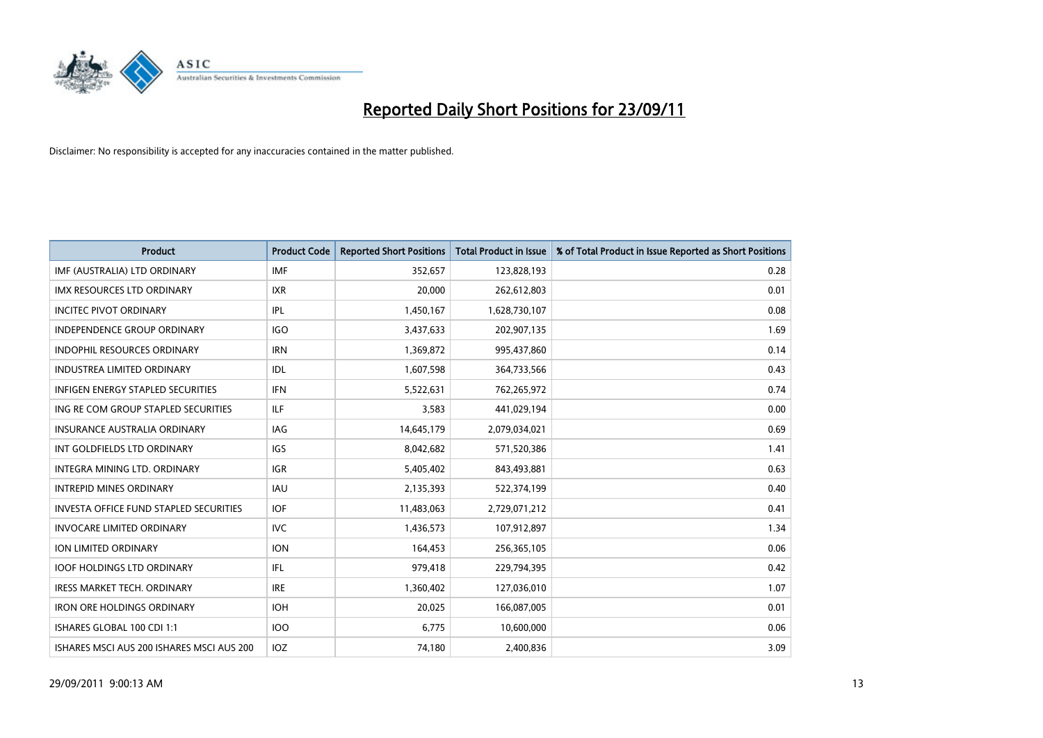

| <b>Product</b>                                | <b>Product Code</b> | <b>Reported Short Positions</b> | <b>Total Product in Issue</b> | % of Total Product in Issue Reported as Short Positions |
|-----------------------------------------------|---------------------|---------------------------------|-------------------------------|---------------------------------------------------------|
| IMF (AUSTRALIA) LTD ORDINARY                  | <b>IMF</b>          | 352,657                         | 123,828,193                   | 0.28                                                    |
| <b>IMX RESOURCES LTD ORDINARY</b>             | <b>IXR</b>          | 20,000                          | 262,612,803                   | 0.01                                                    |
| <b>INCITEC PIVOT ORDINARY</b>                 | <b>IPL</b>          | 1,450,167                       | 1,628,730,107                 | 0.08                                                    |
| INDEPENDENCE GROUP ORDINARY                   | <b>IGO</b>          | 3,437,633                       | 202,907,135                   | 1.69                                                    |
| <b>INDOPHIL RESOURCES ORDINARY</b>            | <b>IRN</b>          | 1,369,872                       | 995,437,860                   | 0.14                                                    |
| <b>INDUSTREA LIMITED ORDINARY</b>             | IDL                 | 1,607,598                       | 364,733,566                   | 0.43                                                    |
| INFIGEN ENERGY STAPLED SECURITIES             | <b>IFN</b>          | 5,522,631                       | 762,265,972                   | 0.74                                                    |
| ING RE COM GROUP STAPLED SECURITIES           | <b>ILF</b>          | 3,583                           | 441,029,194                   | 0.00                                                    |
| <b>INSURANCE AUSTRALIA ORDINARY</b>           | IAG                 | 14,645,179                      | 2,079,034,021                 | 0.69                                                    |
| INT GOLDFIELDS LTD ORDINARY                   | <b>IGS</b>          | 8,042,682                       | 571,520,386                   | 1.41                                                    |
| <b>INTEGRA MINING LTD, ORDINARY</b>           | <b>IGR</b>          | 5,405,402                       | 843,493,881                   | 0.63                                                    |
| <b>INTREPID MINES ORDINARY</b>                | <b>IAU</b>          | 2,135,393                       | 522,374,199                   | 0.40                                                    |
| <b>INVESTA OFFICE FUND STAPLED SECURITIES</b> | <b>IOF</b>          | 11,483,063                      | 2,729,071,212                 | 0.41                                                    |
| <b>INVOCARE LIMITED ORDINARY</b>              | <b>IVC</b>          | 1,436,573                       | 107,912,897                   | 1.34                                                    |
| ION LIMITED ORDINARY                          | <b>ION</b>          | 164,453                         | 256,365,105                   | 0.06                                                    |
| <b>IOOF HOLDINGS LTD ORDINARY</b>             | IFL                 | 979,418                         | 229,794,395                   | 0.42                                                    |
| <b>IRESS MARKET TECH. ORDINARY</b>            | <b>IRE</b>          | 1,360,402                       | 127,036,010                   | 1.07                                                    |
| <b>IRON ORE HOLDINGS ORDINARY</b>             | <b>IOH</b>          | 20,025                          | 166,087,005                   | 0.01                                                    |
| ISHARES GLOBAL 100 CDI 1:1                    | 100                 | 6,775                           | 10,600,000                    | 0.06                                                    |
| ISHARES MSCI AUS 200 ISHARES MSCI AUS 200     | <b>IOZ</b>          | 74,180                          | 2,400,836                     | 3.09                                                    |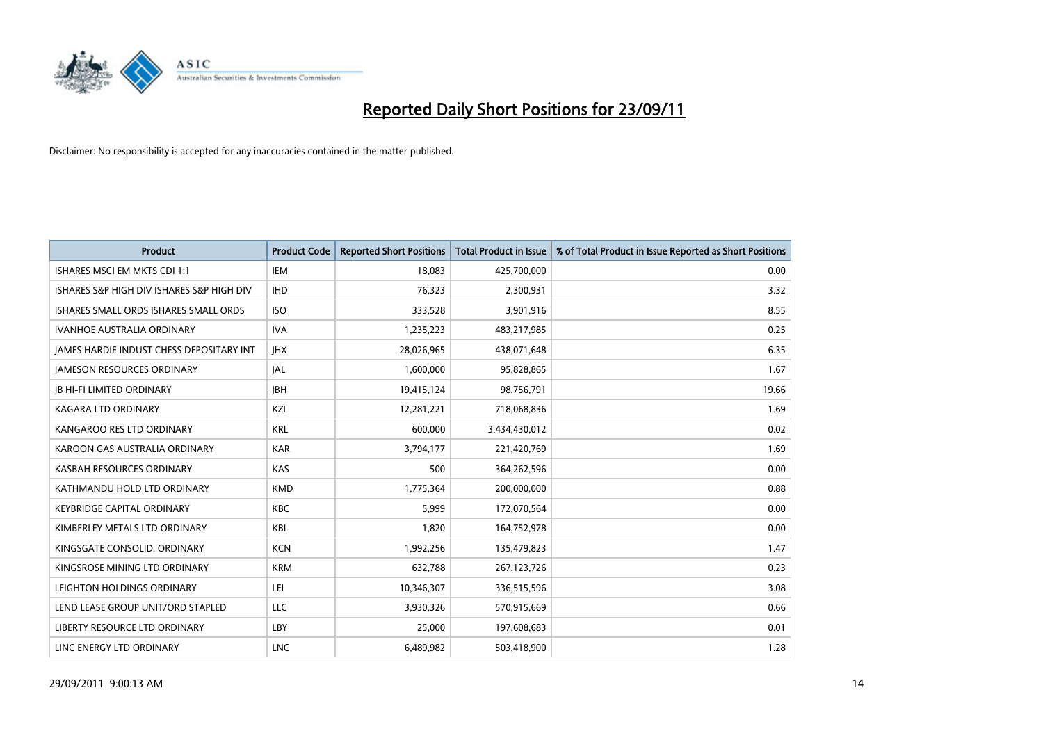

| <b>Product</b>                                  | <b>Product Code</b> | <b>Reported Short Positions</b> | <b>Total Product in Issue</b> | % of Total Product in Issue Reported as Short Positions |
|-------------------------------------------------|---------------------|---------------------------------|-------------------------------|---------------------------------------------------------|
| ISHARES MSCI EM MKTS CDI 1:1                    | IEM                 | 18.083                          | 425,700,000                   | 0.00                                                    |
| ISHARES S&P HIGH DIV ISHARES S&P HIGH DIV       | <b>IHD</b>          | 76,323                          | 2,300,931                     | 3.32                                                    |
| ISHARES SMALL ORDS ISHARES SMALL ORDS           | <b>ISO</b>          | 333,528                         | 3,901,916                     | 8.55                                                    |
| IVANHOE AUSTRALIA ORDINARY                      | <b>IVA</b>          | 1,235,223                       | 483,217,985                   | 0.25                                                    |
| <b>IAMES HARDIE INDUST CHESS DEPOSITARY INT</b> | <b>IHX</b>          | 28,026,965                      | 438,071,648                   | 6.35                                                    |
| <b>JAMESON RESOURCES ORDINARY</b>               | <b>JAL</b>          | 1,600,000                       | 95,828,865                    | 1.67                                                    |
| <b>JB HI-FI LIMITED ORDINARY</b>                | <b>IBH</b>          | 19,415,124                      | 98,756,791                    | 19.66                                                   |
| KAGARA LTD ORDINARY                             | <b>KZL</b>          | 12,281,221                      | 718,068,836                   | 1.69                                                    |
| KANGAROO RES LTD ORDINARY                       | <b>KRL</b>          | 600.000                         | 3,434,430,012                 | 0.02                                                    |
| KAROON GAS AUSTRALIA ORDINARY                   | <b>KAR</b>          | 3,794,177                       | 221,420,769                   | 1.69                                                    |
| KASBAH RESOURCES ORDINARY                       | <b>KAS</b>          | 500                             | 364,262,596                   | 0.00                                                    |
| KATHMANDU HOLD LTD ORDINARY                     | <b>KMD</b>          | 1,775,364                       | 200,000,000                   | 0.88                                                    |
| <b>KEYBRIDGE CAPITAL ORDINARY</b>               | <b>KBC</b>          | 5,999                           | 172,070,564                   | 0.00                                                    |
| KIMBERLEY METALS LTD ORDINARY                   | <b>KBL</b>          | 1,820                           | 164,752,978                   | 0.00                                                    |
| KINGSGATE CONSOLID. ORDINARY                    | <b>KCN</b>          | 1,992,256                       | 135,479,823                   | 1.47                                                    |
| KINGSROSE MINING LTD ORDINARY                   | <b>KRM</b>          | 632,788                         | 267,123,726                   | 0.23                                                    |
| LEIGHTON HOLDINGS ORDINARY                      | LEI                 | 10,346,307                      | 336,515,596                   | 3.08                                                    |
| LEND LEASE GROUP UNIT/ORD STAPLED               | LLC                 | 3,930,326                       | 570,915,669                   | 0.66                                                    |
| LIBERTY RESOURCE LTD ORDINARY                   | LBY                 | 25,000                          | 197,608,683                   | 0.01                                                    |
| LINC ENERGY LTD ORDINARY                        | <b>LNC</b>          | 6.489.982                       | 503,418,900                   | 1.28                                                    |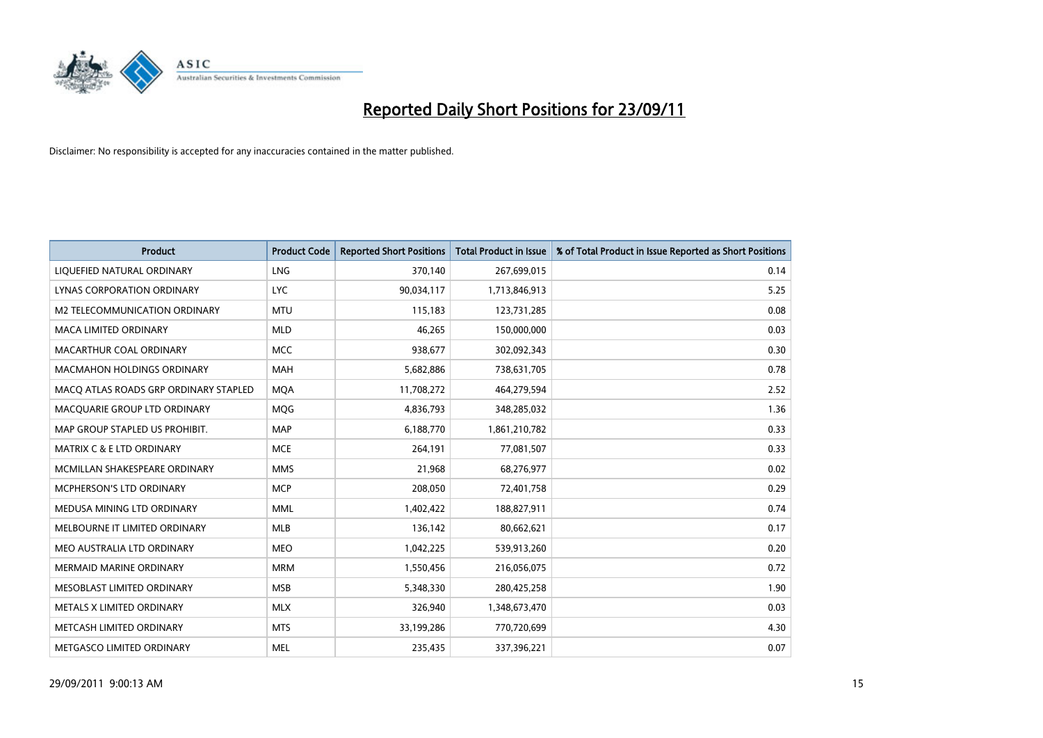

| <b>Product</b>                        | <b>Product Code</b> | <b>Reported Short Positions</b> | <b>Total Product in Issue</b> | % of Total Product in Issue Reported as Short Positions |
|---------------------------------------|---------------------|---------------------------------|-------------------------------|---------------------------------------------------------|
| LIQUEFIED NATURAL ORDINARY            | <b>LNG</b>          | 370,140                         | 267,699,015                   | 0.14                                                    |
| LYNAS CORPORATION ORDINARY            | <b>LYC</b>          | 90,034,117                      | 1,713,846,913                 | 5.25                                                    |
| M2 TELECOMMUNICATION ORDINARY         | <b>MTU</b>          | 115,183                         | 123,731,285                   | 0.08                                                    |
| MACA LIMITED ORDINARY                 | <b>MLD</b>          | 46,265                          | 150,000,000                   | 0.03                                                    |
| MACARTHUR COAL ORDINARY               | <b>MCC</b>          | 938,677                         | 302,092,343                   | 0.30                                                    |
| <b>MACMAHON HOLDINGS ORDINARY</b>     | <b>MAH</b>          | 5,682,886                       | 738,631,705                   | 0.78                                                    |
| MACO ATLAS ROADS GRP ORDINARY STAPLED | <b>MQA</b>          | 11,708,272                      | 464,279,594                   | 2.52                                                    |
| MACQUARIE GROUP LTD ORDINARY          | <b>MOG</b>          | 4,836,793                       | 348,285,032                   | 1.36                                                    |
| MAP GROUP STAPLED US PROHIBIT.        | <b>MAP</b>          | 6,188,770                       | 1,861,210,782                 | 0.33                                                    |
| <b>MATRIX C &amp; E LTD ORDINARY</b>  | <b>MCE</b>          | 264,191                         | 77,081,507                    | 0.33                                                    |
| MCMILLAN SHAKESPEARE ORDINARY         | <b>MMS</b>          | 21,968                          | 68,276,977                    | 0.02                                                    |
| MCPHERSON'S LTD ORDINARY              | <b>MCP</b>          | 208,050                         | 72,401,758                    | 0.29                                                    |
| MEDUSA MINING LTD ORDINARY            | <b>MML</b>          | 1,402,422                       | 188,827,911                   | 0.74                                                    |
| MELBOURNE IT LIMITED ORDINARY         | <b>MLB</b>          | 136,142                         | 80,662,621                    | 0.17                                                    |
| MEO AUSTRALIA LTD ORDINARY            | <b>MEO</b>          | 1,042,225                       | 539,913,260                   | 0.20                                                    |
| MERMAID MARINE ORDINARY               | <b>MRM</b>          | 1,550,456                       | 216,056,075                   | 0.72                                                    |
| MESOBLAST LIMITED ORDINARY            | <b>MSB</b>          | 5,348,330                       | 280,425,258                   | 1.90                                                    |
| METALS X LIMITED ORDINARY             | <b>MLX</b>          | 326,940                         | 1,348,673,470                 | 0.03                                                    |
| METCASH LIMITED ORDINARY              | <b>MTS</b>          | 33,199,286                      | 770,720,699                   | 4.30                                                    |
| METGASCO LIMITED ORDINARY             | <b>MEL</b>          | 235,435                         | 337,396,221                   | 0.07                                                    |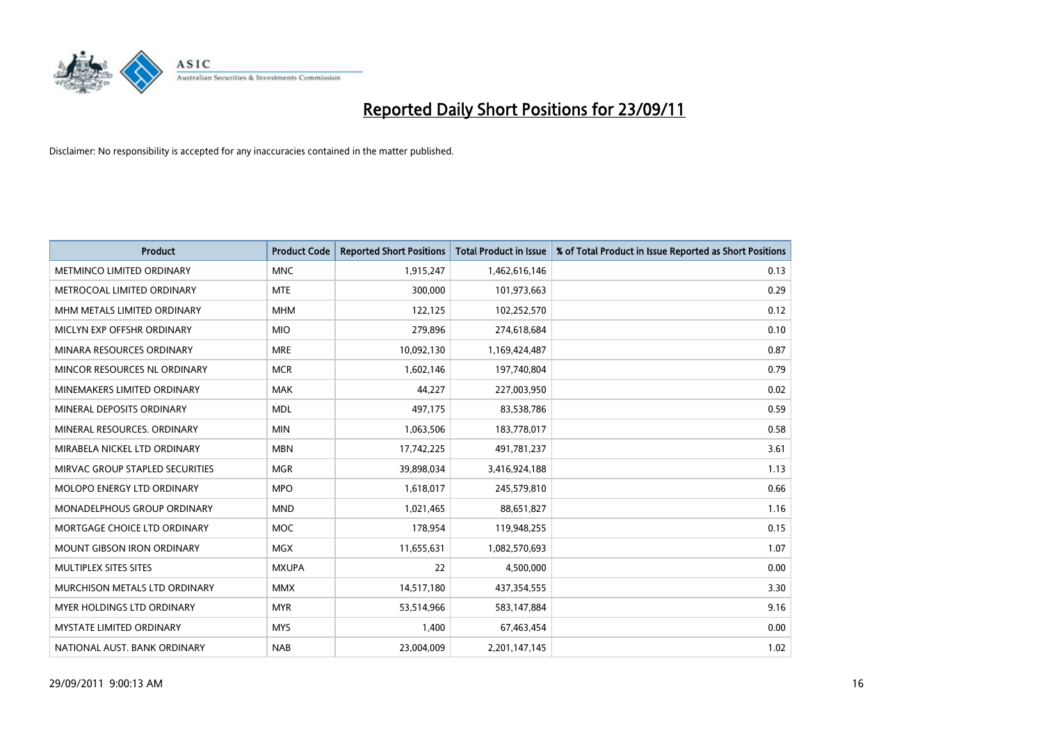

| <b>Product</b>                       | <b>Product Code</b> | <b>Reported Short Positions</b> | <b>Total Product in Issue</b> | % of Total Product in Issue Reported as Short Positions |
|--------------------------------------|---------------------|---------------------------------|-------------------------------|---------------------------------------------------------|
| METMINCO LIMITED ORDINARY            | <b>MNC</b>          | 1,915,247                       | 1,462,616,146                 | 0.13                                                    |
| METROCOAL LIMITED ORDINARY           | <b>MTE</b>          | 300,000                         | 101,973,663                   | 0.29                                                    |
| MHM METALS LIMITED ORDINARY          | <b>MHM</b>          | 122,125                         | 102,252,570                   | 0.12                                                    |
| MICLYN EXP OFFSHR ORDINARY           | <b>MIO</b>          | 279,896                         | 274,618,684                   | 0.10                                                    |
| MINARA RESOURCES ORDINARY            | <b>MRE</b>          | 10,092,130                      | 1,169,424,487                 | 0.87                                                    |
| MINCOR RESOURCES NL ORDINARY         | <b>MCR</b>          | 1,602,146                       | 197,740,804                   | 0.79                                                    |
| MINEMAKERS LIMITED ORDINARY          | <b>MAK</b>          | 44,227                          | 227,003,950                   | 0.02                                                    |
| MINERAL DEPOSITS ORDINARY            | <b>MDL</b>          | 497,175                         | 83,538,786                    | 0.59                                                    |
| MINERAL RESOURCES, ORDINARY          | <b>MIN</b>          | 1,063,506                       | 183,778,017                   | 0.58                                                    |
| MIRABELA NICKEL LTD ORDINARY         | <b>MBN</b>          | 17,742,225                      | 491,781,237                   | 3.61                                                    |
| MIRVAC GROUP STAPLED SECURITIES      | <b>MGR</b>          | 39,898,034                      | 3,416,924,188                 | 1.13                                                    |
| MOLOPO ENERGY LTD ORDINARY           | <b>MPO</b>          | 1,618,017                       | 245,579,810                   | 0.66                                                    |
| MONADELPHOUS GROUP ORDINARY          | <b>MND</b>          | 1,021,465                       | 88,651,827                    | 1.16                                                    |
| MORTGAGE CHOICE LTD ORDINARY         | <b>MOC</b>          | 178,954                         | 119,948,255                   | 0.15                                                    |
| <b>MOUNT GIBSON IRON ORDINARY</b>    | <b>MGX</b>          | 11,655,631                      | 1,082,570,693                 | 1.07                                                    |
| MULTIPLEX SITES SITES                | <b>MXUPA</b>        | 22                              | 4,500,000                     | 0.00                                                    |
| <b>MURCHISON METALS LTD ORDINARY</b> | <b>MMX</b>          | 14,517,180                      | 437,354,555                   | 3.30                                                    |
| MYER HOLDINGS LTD ORDINARY           | <b>MYR</b>          | 53,514,966                      | 583,147,884                   | 9.16                                                    |
| <b>MYSTATE LIMITED ORDINARY</b>      | <b>MYS</b>          | 1,400                           | 67,463,454                    | 0.00                                                    |
| NATIONAL AUST. BANK ORDINARY         | <b>NAB</b>          | 23,004,009                      | 2,201,147,145                 | 1.02                                                    |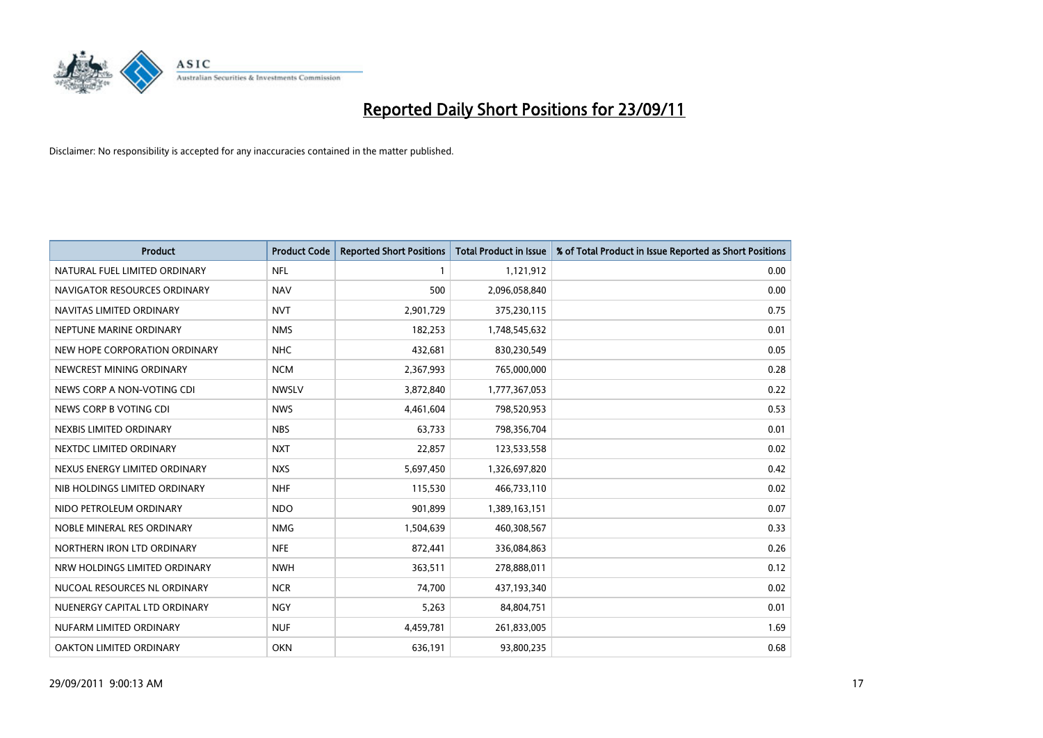

| <b>Product</b>                | <b>Product Code</b> | <b>Reported Short Positions</b> | Total Product in Issue | % of Total Product in Issue Reported as Short Positions |
|-------------------------------|---------------------|---------------------------------|------------------------|---------------------------------------------------------|
| NATURAL FUEL LIMITED ORDINARY | <b>NFL</b>          |                                 | 1,121,912              | 0.00                                                    |
| NAVIGATOR RESOURCES ORDINARY  | <b>NAV</b>          | 500                             | 2,096,058,840          | 0.00                                                    |
| NAVITAS LIMITED ORDINARY      | <b>NVT</b>          | 2,901,729                       | 375,230,115            | 0.75                                                    |
| NEPTUNE MARINE ORDINARY       | <b>NMS</b>          | 182,253                         | 1,748,545,632          | 0.01                                                    |
| NEW HOPE CORPORATION ORDINARY | <b>NHC</b>          | 432,681                         | 830,230,549            | 0.05                                                    |
| NEWCREST MINING ORDINARY      | <b>NCM</b>          | 2,367,993                       | 765,000,000            | 0.28                                                    |
| NEWS CORP A NON-VOTING CDI    | <b>NWSLV</b>        | 3,872,840                       | 1,777,367,053          | 0.22                                                    |
| NEWS CORP B VOTING CDI        | <b>NWS</b>          | 4,461,604                       | 798,520,953            | 0.53                                                    |
| NEXBIS LIMITED ORDINARY       | <b>NBS</b>          | 63,733                          | 798,356,704            | 0.01                                                    |
| NEXTDC LIMITED ORDINARY       | <b>NXT</b>          | 22,857                          | 123,533,558            | 0.02                                                    |
| NEXUS ENERGY LIMITED ORDINARY | <b>NXS</b>          | 5,697,450                       | 1,326,697,820          | 0.42                                                    |
| NIB HOLDINGS LIMITED ORDINARY | <b>NHF</b>          | 115,530                         | 466,733,110            | 0.02                                                    |
| NIDO PETROLEUM ORDINARY       | <b>NDO</b>          | 901,899                         | 1,389,163,151          | 0.07                                                    |
| NOBLE MINERAL RES ORDINARY    | <b>NMG</b>          | 1,504,639                       | 460,308,567            | 0.33                                                    |
| NORTHERN IRON LTD ORDINARY    | <b>NFE</b>          | 872,441                         | 336,084,863            | 0.26                                                    |
| NRW HOLDINGS LIMITED ORDINARY | <b>NWH</b>          | 363,511                         | 278,888,011            | 0.12                                                    |
| NUCOAL RESOURCES NL ORDINARY  | <b>NCR</b>          | 74,700                          | 437,193,340            | 0.02                                                    |
| NUENERGY CAPITAL LTD ORDINARY | <b>NGY</b>          | 5,263                           | 84,804,751             | 0.01                                                    |
| NUFARM LIMITED ORDINARY       | <b>NUF</b>          | 4,459,781                       | 261,833,005            | 1.69                                                    |
| OAKTON LIMITED ORDINARY       | <b>OKN</b>          | 636,191                         | 93,800,235             | 0.68                                                    |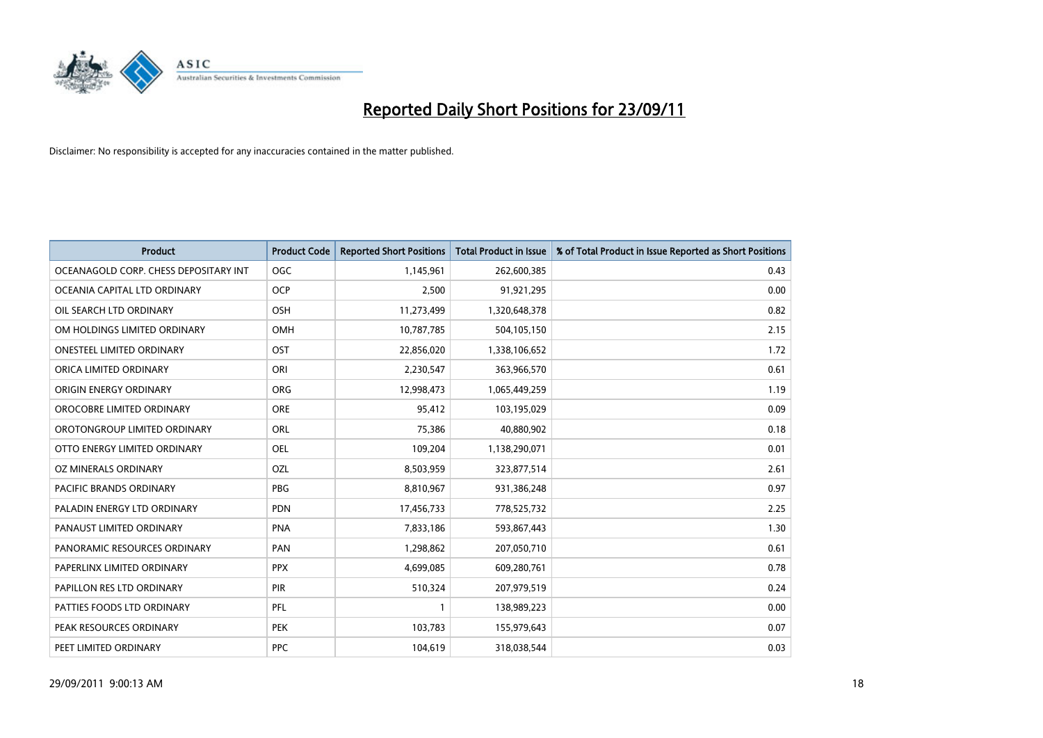

| <b>Product</b>                        | <b>Product Code</b> | <b>Reported Short Positions</b> | <b>Total Product in Issue</b> | % of Total Product in Issue Reported as Short Positions |
|---------------------------------------|---------------------|---------------------------------|-------------------------------|---------------------------------------------------------|
| OCEANAGOLD CORP. CHESS DEPOSITARY INT | <b>OGC</b>          | 1,145,961                       | 262,600,385                   | 0.43                                                    |
| OCEANIA CAPITAL LTD ORDINARY          | <b>OCP</b>          | 2,500                           | 91,921,295                    | 0.00                                                    |
| OIL SEARCH LTD ORDINARY               | OSH                 | 11,273,499                      | 1,320,648,378                 | 0.82                                                    |
| OM HOLDINGS LIMITED ORDINARY          | OMH                 | 10,787,785                      | 504,105,150                   | 2.15                                                    |
| <b>ONESTEEL LIMITED ORDINARY</b>      | OST                 | 22,856,020                      | 1,338,106,652                 | 1.72                                                    |
| ORICA LIMITED ORDINARY                | ORI                 | 2,230,547                       | 363,966,570                   | 0.61                                                    |
| ORIGIN ENERGY ORDINARY                | <b>ORG</b>          | 12,998,473                      | 1,065,449,259                 | 1.19                                                    |
| OROCOBRE LIMITED ORDINARY             | <b>ORE</b>          | 95,412                          | 103,195,029                   | 0.09                                                    |
| OROTONGROUP LIMITED ORDINARY          | ORL                 | 75,386                          | 40,880,902                    | 0.18                                                    |
| OTTO ENERGY LIMITED ORDINARY          | <b>OEL</b>          | 109,204                         | 1,138,290,071                 | 0.01                                                    |
| OZ MINERALS ORDINARY                  | OZL                 | 8,503,959                       | 323,877,514                   | 2.61                                                    |
| PACIFIC BRANDS ORDINARY               | <b>PBG</b>          | 8,810,967                       | 931,386,248                   | 0.97                                                    |
| PALADIN ENERGY LTD ORDINARY           | <b>PDN</b>          | 17,456,733                      | 778,525,732                   | 2.25                                                    |
| PANAUST LIMITED ORDINARY              | <b>PNA</b>          | 7,833,186                       | 593,867,443                   | 1.30                                                    |
| PANORAMIC RESOURCES ORDINARY          | PAN                 | 1,298,862                       | 207,050,710                   | 0.61                                                    |
| PAPERLINX LIMITED ORDINARY            | <b>PPX</b>          | 4,699,085                       | 609,280,761                   | 0.78                                                    |
| PAPILLON RES LTD ORDINARY             | PIR                 | 510,324                         | 207,979,519                   | 0.24                                                    |
| PATTIES FOODS LTD ORDINARY            | PFL                 |                                 | 138,989,223                   | 0.00                                                    |
| PEAK RESOURCES ORDINARY               | <b>PEK</b>          | 103,783                         | 155,979,643                   | 0.07                                                    |
| PEET LIMITED ORDINARY                 | <b>PPC</b>          | 104,619                         | 318,038,544                   | 0.03                                                    |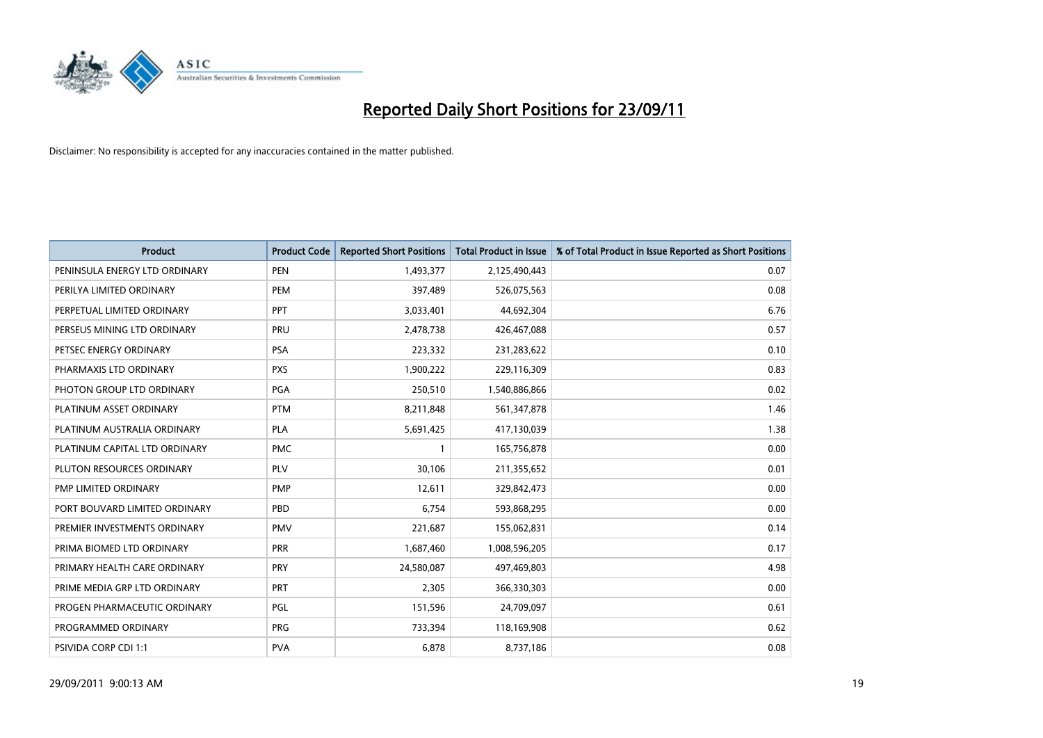

| <b>Product</b>                | <b>Product Code</b> | <b>Reported Short Positions</b> | Total Product in Issue | % of Total Product in Issue Reported as Short Positions |
|-------------------------------|---------------------|---------------------------------|------------------------|---------------------------------------------------------|
| PENINSULA ENERGY LTD ORDINARY | <b>PEN</b>          | 1,493,377                       | 2,125,490,443          | 0.07                                                    |
| PERILYA LIMITED ORDINARY      | PEM                 | 397,489                         | 526,075,563            | 0.08                                                    |
| PERPETUAL LIMITED ORDINARY    | PPT                 | 3,033,401                       | 44,692,304             | 6.76                                                    |
| PERSEUS MINING LTD ORDINARY   | PRU                 | 2,478,738                       | 426,467,088            | 0.57                                                    |
| PETSEC ENERGY ORDINARY        | <b>PSA</b>          | 223,332                         | 231,283,622            | 0.10                                                    |
| PHARMAXIS LTD ORDINARY        | <b>PXS</b>          | 1,900,222                       | 229,116,309            | 0.83                                                    |
| PHOTON GROUP LTD ORDINARY     | <b>PGA</b>          | 250,510                         | 1,540,886,866          | 0.02                                                    |
| PLATINUM ASSET ORDINARY       | <b>PTM</b>          | 8,211,848                       | 561,347,878            | 1.46                                                    |
| PLATINUM AUSTRALIA ORDINARY   | <b>PLA</b>          | 5,691,425                       | 417,130,039            | 1.38                                                    |
| PLATINUM CAPITAL LTD ORDINARY | <b>PMC</b>          |                                 | 165,756,878            | 0.00                                                    |
| PLUTON RESOURCES ORDINARY     | <b>PLV</b>          | 30,106                          | 211,355,652            | 0.01                                                    |
| PMP LIMITED ORDINARY          | <b>PMP</b>          | 12,611                          | 329,842,473            | 0.00                                                    |
| PORT BOUVARD LIMITED ORDINARY | PBD                 | 6,754                           | 593,868,295            | 0.00                                                    |
| PREMIER INVESTMENTS ORDINARY  | <b>PMV</b>          | 221,687                         | 155,062,831            | 0.14                                                    |
| PRIMA BIOMED LTD ORDINARY     | <b>PRR</b>          | 1,687,460                       | 1,008,596,205          | 0.17                                                    |
| PRIMARY HEALTH CARE ORDINARY  | <b>PRY</b>          | 24,580,087                      | 497,469,803            | 4.98                                                    |
| PRIME MEDIA GRP LTD ORDINARY  | PRT                 | 2,305                           | 366,330,303            | 0.00                                                    |
| PROGEN PHARMACEUTIC ORDINARY  | PGL                 | 151,596                         | 24,709,097             | 0.61                                                    |
| PROGRAMMED ORDINARY           | <b>PRG</b>          | 733,394                         | 118,169,908            | 0.62                                                    |
| PSIVIDA CORP CDI 1:1          | <b>PVA</b>          | 6,878                           | 8,737,186              | 0.08                                                    |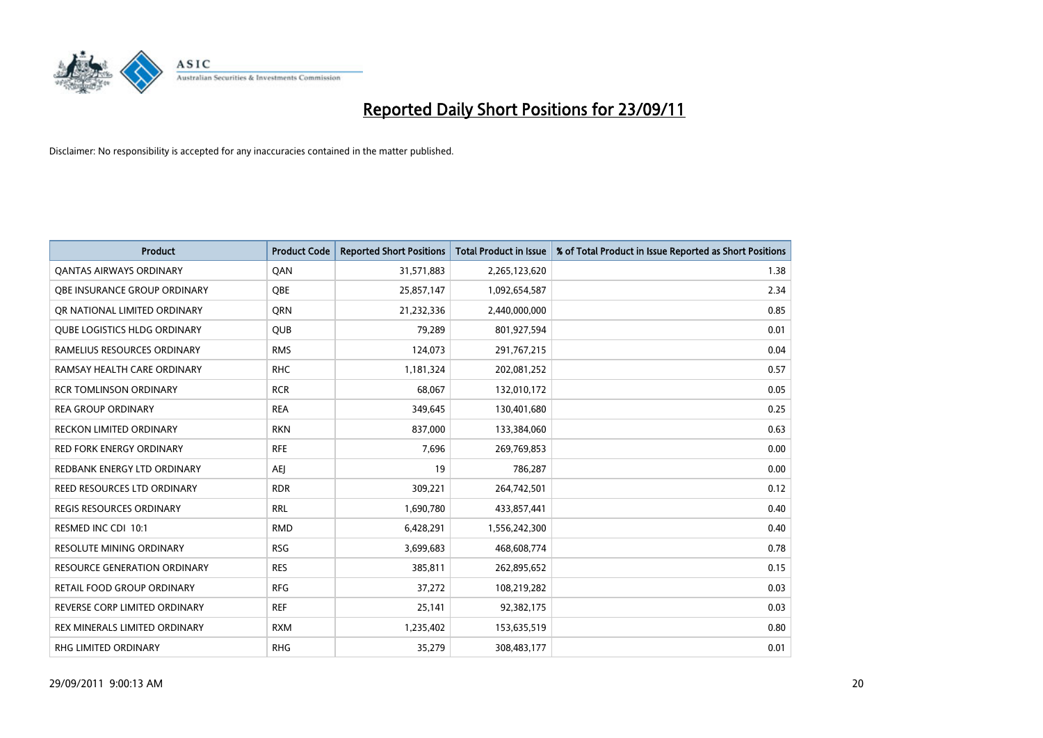

| <b>Product</b>                      | <b>Product Code</b> | <b>Reported Short Positions</b> | <b>Total Product in Issue</b> | % of Total Product in Issue Reported as Short Positions |
|-------------------------------------|---------------------|---------------------------------|-------------------------------|---------------------------------------------------------|
| <b>QANTAS AIRWAYS ORDINARY</b>      | QAN                 | 31,571,883                      | 2,265,123,620                 | 1.38                                                    |
| OBE INSURANCE GROUP ORDINARY        | <b>OBE</b>          | 25,857,147                      | 1,092,654,587                 | 2.34                                                    |
| OR NATIONAL LIMITED ORDINARY        | <b>ORN</b>          | 21,232,336                      | 2,440,000,000                 | 0.85                                                    |
| <b>QUBE LOGISTICS HLDG ORDINARY</b> | <b>QUB</b>          | 79,289                          | 801,927,594                   | 0.01                                                    |
| RAMELIUS RESOURCES ORDINARY         | <b>RMS</b>          | 124,073                         | 291,767,215                   | 0.04                                                    |
| RAMSAY HEALTH CARE ORDINARY         | <b>RHC</b>          | 1,181,324                       | 202,081,252                   | 0.57                                                    |
| <b>RCR TOMLINSON ORDINARY</b>       | <b>RCR</b>          | 68,067                          | 132,010,172                   | 0.05                                                    |
| <b>REA GROUP ORDINARY</b>           | <b>REA</b>          | 349,645                         | 130,401,680                   | 0.25                                                    |
| <b>RECKON LIMITED ORDINARY</b>      | <b>RKN</b>          | 837,000                         | 133,384,060                   | 0.63                                                    |
| <b>RED FORK ENERGY ORDINARY</b>     | <b>RFE</b>          | 7,696                           | 269,769,853                   | 0.00                                                    |
| REDBANK ENERGY LTD ORDINARY         | AEI                 | 19                              | 786,287                       | 0.00                                                    |
| REED RESOURCES LTD ORDINARY         | <b>RDR</b>          | 309,221                         | 264,742,501                   | 0.12                                                    |
| REGIS RESOURCES ORDINARY            | <b>RRL</b>          | 1,690,780                       | 433,857,441                   | 0.40                                                    |
| RESMED INC CDI 10:1                 | <b>RMD</b>          | 6,428,291                       | 1,556,242,300                 | 0.40                                                    |
| <b>RESOLUTE MINING ORDINARY</b>     | <b>RSG</b>          | 3,699,683                       | 468,608,774                   | 0.78                                                    |
| RESOURCE GENERATION ORDINARY        | <b>RES</b>          | 385,811                         | 262,895,652                   | 0.15                                                    |
| RETAIL FOOD GROUP ORDINARY          | <b>RFG</b>          | 37,272                          | 108,219,282                   | 0.03                                                    |
| REVERSE CORP LIMITED ORDINARY       | <b>REF</b>          | 25,141                          | 92,382,175                    | 0.03                                                    |
| REX MINERALS LIMITED ORDINARY       | <b>RXM</b>          | 1,235,402                       | 153,635,519                   | 0.80                                                    |
| RHG LIMITED ORDINARY                | <b>RHG</b>          | 35,279                          | 308,483,177                   | 0.01                                                    |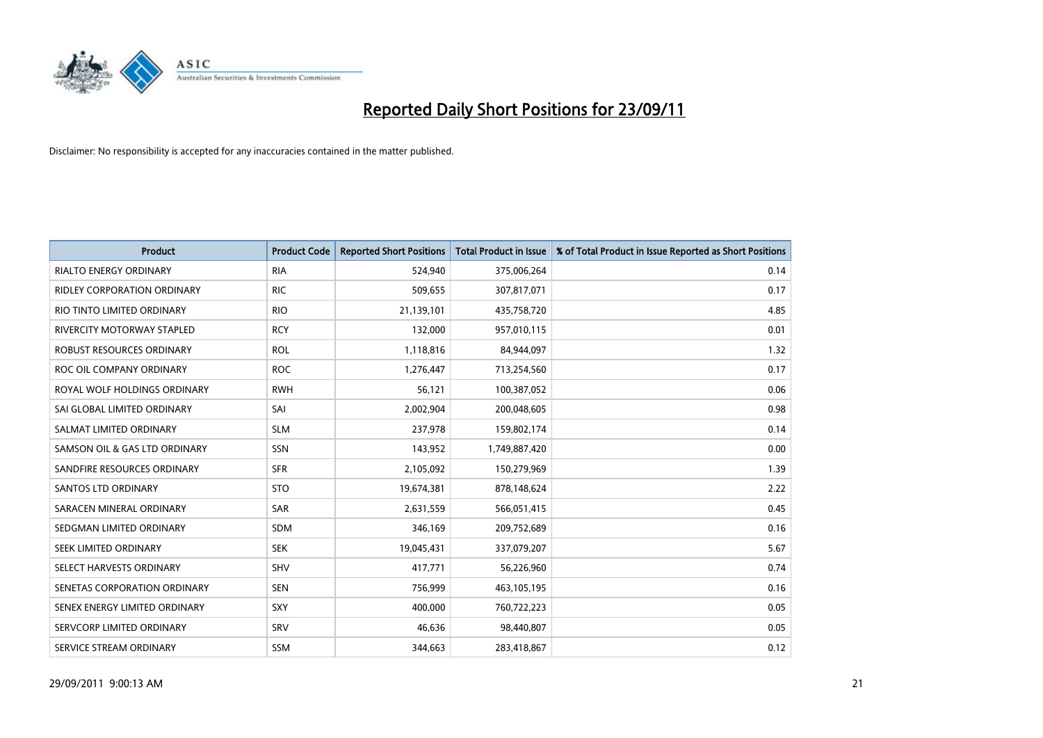

| <b>Product</b>                | <b>Product Code</b> | <b>Reported Short Positions</b> | <b>Total Product in Issue</b> | % of Total Product in Issue Reported as Short Positions |
|-------------------------------|---------------------|---------------------------------|-------------------------------|---------------------------------------------------------|
| <b>RIALTO ENERGY ORDINARY</b> | <b>RIA</b>          | 524,940                         | 375,006,264                   | 0.14                                                    |
| RIDLEY CORPORATION ORDINARY   | <b>RIC</b>          | 509,655                         | 307,817,071                   | 0.17                                                    |
| RIO TINTO LIMITED ORDINARY    | <b>RIO</b>          | 21,139,101                      | 435,758,720                   | 4.85                                                    |
| RIVERCITY MOTORWAY STAPLED    | <b>RCY</b>          | 132,000                         | 957,010,115                   | 0.01                                                    |
| ROBUST RESOURCES ORDINARY     | <b>ROL</b>          | 1,118,816                       | 84,944,097                    | 1.32                                                    |
| ROC OIL COMPANY ORDINARY      | <b>ROC</b>          | 1,276,447                       | 713,254,560                   | 0.17                                                    |
| ROYAL WOLF HOLDINGS ORDINARY  | <b>RWH</b>          | 56,121                          | 100,387,052                   | 0.06                                                    |
| SAI GLOBAL LIMITED ORDINARY   | SAI                 | 2,002,904                       | 200,048,605                   | 0.98                                                    |
| SALMAT LIMITED ORDINARY       | <b>SLM</b>          | 237,978                         | 159,802,174                   | 0.14                                                    |
| SAMSON OIL & GAS LTD ORDINARY | <b>SSN</b>          | 143,952                         | 1,749,887,420                 | 0.00                                                    |
| SANDFIRE RESOURCES ORDINARY   | <b>SFR</b>          | 2,105,092                       | 150,279,969                   | 1.39                                                    |
| <b>SANTOS LTD ORDINARY</b>    | <b>STO</b>          | 19,674,381                      | 878,148,624                   | 2.22                                                    |
| SARACEN MINERAL ORDINARY      | <b>SAR</b>          | 2,631,559                       | 566,051,415                   | 0.45                                                    |
| SEDGMAN LIMITED ORDINARY      | <b>SDM</b>          | 346,169                         | 209,752,689                   | 0.16                                                    |
| SEEK LIMITED ORDINARY         | <b>SEK</b>          | 19,045,431                      | 337,079,207                   | 5.67                                                    |
| SELECT HARVESTS ORDINARY      | <b>SHV</b>          | 417,771                         | 56,226,960                    | 0.74                                                    |
| SENETAS CORPORATION ORDINARY  | <b>SEN</b>          | 756,999                         | 463,105,195                   | 0.16                                                    |
| SENEX ENERGY LIMITED ORDINARY | <b>SXY</b>          | 400,000                         | 760,722,223                   | 0.05                                                    |
| SERVCORP LIMITED ORDINARY     | SRV                 | 46,636                          | 98,440,807                    | 0.05                                                    |
| SERVICE STREAM ORDINARY       | <b>SSM</b>          | 344.663                         | 283,418,867                   | 0.12                                                    |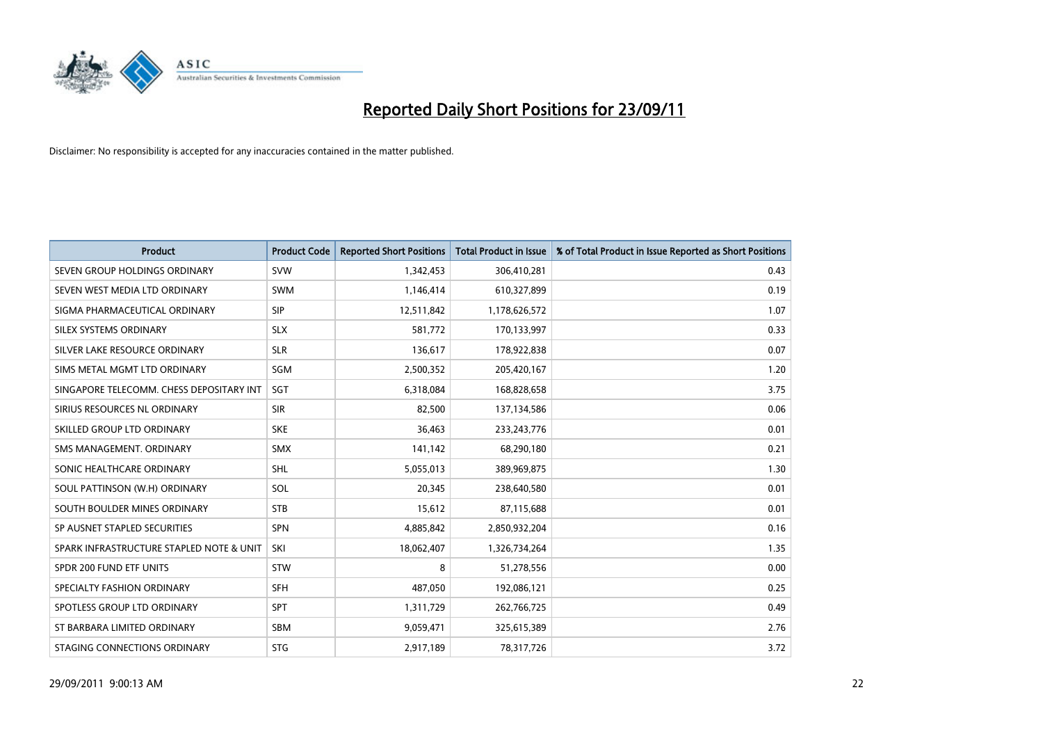

| <b>Product</b>                           | <b>Product Code</b> | <b>Reported Short Positions</b> | <b>Total Product in Issue</b> | % of Total Product in Issue Reported as Short Positions |
|------------------------------------------|---------------------|---------------------------------|-------------------------------|---------------------------------------------------------|
| SEVEN GROUP HOLDINGS ORDINARY            | <b>SVW</b>          | 1,342,453                       | 306,410,281                   | 0.43                                                    |
| SEVEN WEST MEDIA LTD ORDINARY            | <b>SWM</b>          | 1,146,414                       | 610,327,899                   | 0.19                                                    |
| SIGMA PHARMACEUTICAL ORDINARY            | <b>SIP</b>          | 12,511,842                      | 1,178,626,572                 | 1.07                                                    |
| SILEX SYSTEMS ORDINARY                   | <b>SLX</b>          | 581,772                         | 170,133,997                   | 0.33                                                    |
| SILVER LAKE RESOURCE ORDINARY            | <b>SLR</b>          | 136,617                         | 178,922,838                   | 0.07                                                    |
| SIMS METAL MGMT LTD ORDINARY             | SGM                 | 2,500,352                       | 205,420,167                   | 1.20                                                    |
| SINGAPORE TELECOMM. CHESS DEPOSITARY INT | <b>SGT</b>          | 6,318,084                       | 168,828,658                   | 3.75                                                    |
| SIRIUS RESOURCES NL ORDINARY             | <b>SIR</b>          | 82,500                          | 137,134,586                   | 0.06                                                    |
| SKILLED GROUP LTD ORDINARY               | <b>SKE</b>          | 36,463                          | 233, 243, 776                 | 0.01                                                    |
| SMS MANAGEMENT, ORDINARY                 | <b>SMX</b>          | 141,142                         | 68,290,180                    | 0.21                                                    |
| SONIC HEALTHCARE ORDINARY                | <b>SHL</b>          | 5,055,013                       | 389,969,875                   | 1.30                                                    |
| SOUL PATTINSON (W.H) ORDINARY            | SOL                 | 20,345                          | 238,640,580                   | 0.01                                                    |
| SOUTH BOULDER MINES ORDINARY             | <b>STB</b>          | 15,612                          | 87,115,688                    | 0.01                                                    |
| SP AUSNET STAPLED SECURITIES             | <b>SPN</b>          | 4,885,842                       | 2,850,932,204                 | 0.16                                                    |
| SPARK INFRASTRUCTURE STAPLED NOTE & UNIT | SKI                 | 18,062,407                      | 1,326,734,264                 | 1.35                                                    |
| SPDR 200 FUND ETF UNITS                  | <b>STW</b>          | 8                               | 51,278,556                    | 0.00                                                    |
| SPECIALTY FASHION ORDINARY               | <b>SFH</b>          | 487,050                         | 192,086,121                   | 0.25                                                    |
| SPOTLESS GROUP LTD ORDINARY              | <b>SPT</b>          | 1,311,729                       | 262,766,725                   | 0.49                                                    |
| ST BARBARA LIMITED ORDINARY              | SBM                 | 9,059,471                       | 325,615,389                   | 2.76                                                    |
| STAGING CONNECTIONS ORDINARY             | <b>STG</b>          | 2,917,189                       | 78,317,726                    | 3.72                                                    |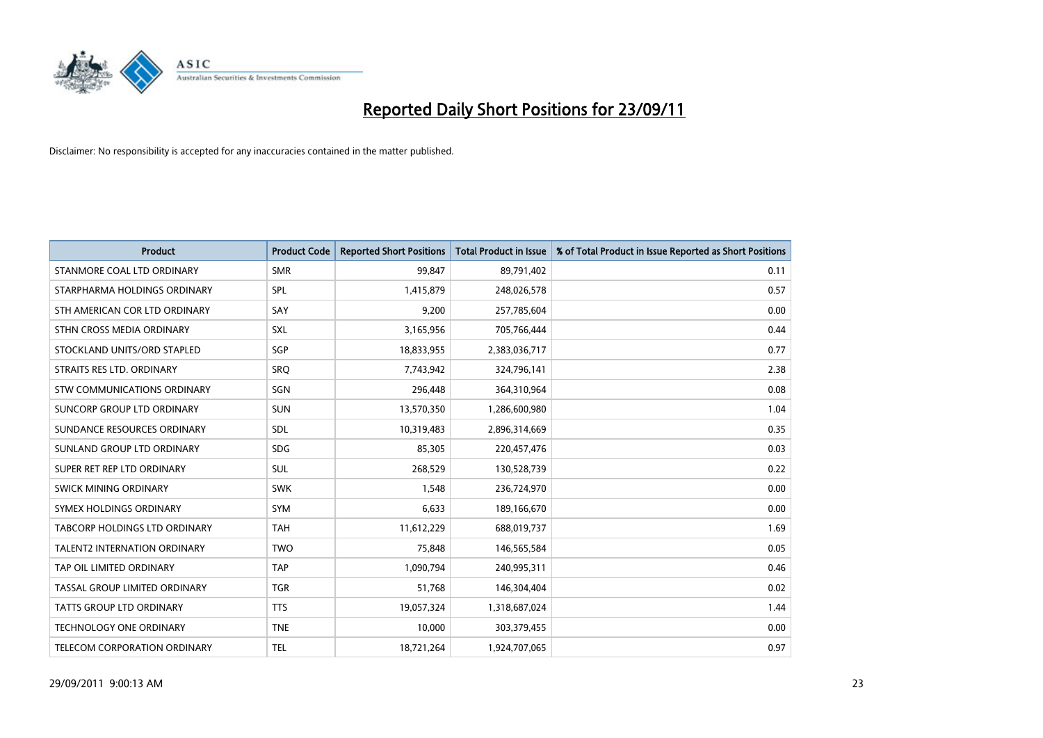

| <b>Product</b>                       | <b>Product Code</b> | <b>Reported Short Positions</b> | <b>Total Product in Issue</b> | % of Total Product in Issue Reported as Short Positions |
|--------------------------------------|---------------------|---------------------------------|-------------------------------|---------------------------------------------------------|
| STANMORE COAL LTD ORDINARY           | <b>SMR</b>          | 99,847                          | 89,791,402                    | 0.11                                                    |
| STARPHARMA HOLDINGS ORDINARY         | SPL                 | 1,415,879                       | 248,026,578                   | 0.57                                                    |
| STH AMERICAN COR LTD ORDINARY        | SAY                 | 9,200                           | 257,785,604                   | 0.00                                                    |
| STHN CROSS MEDIA ORDINARY            | SXL                 | 3,165,956                       | 705,766,444                   | 0.44                                                    |
| STOCKLAND UNITS/ORD STAPLED          | SGP                 | 18,833,955                      | 2,383,036,717                 | 0.77                                                    |
| STRAITS RES LTD. ORDINARY            | SRQ                 | 7,743,942                       | 324,796,141                   | 2.38                                                    |
| STW COMMUNICATIONS ORDINARY          | SGN                 | 296,448                         | 364,310,964                   | 0.08                                                    |
| SUNCORP GROUP LTD ORDINARY           | <b>SUN</b>          | 13,570,350                      | 1,286,600,980                 | 1.04                                                    |
| SUNDANCE RESOURCES ORDINARY          | SDL                 | 10,319,483                      | 2,896,314,669                 | 0.35                                                    |
| SUNLAND GROUP LTD ORDINARY           | <b>SDG</b>          | 85,305                          | 220,457,476                   | 0.03                                                    |
| SUPER RET REP LTD ORDINARY           | <b>SUL</b>          | 268,529                         | 130,528,739                   | 0.22                                                    |
| <b>SWICK MINING ORDINARY</b>         | <b>SWK</b>          | 1,548                           | 236,724,970                   | 0.00                                                    |
| SYMEX HOLDINGS ORDINARY              | <b>SYM</b>          | 6,633                           | 189,166,670                   | 0.00                                                    |
| <b>TABCORP HOLDINGS LTD ORDINARY</b> | <b>TAH</b>          | 11,612,229                      | 688,019,737                   | 1.69                                                    |
| <b>TALENT2 INTERNATION ORDINARY</b>  | <b>TWO</b>          | 75,848                          | 146,565,584                   | 0.05                                                    |
| TAP OIL LIMITED ORDINARY             | <b>TAP</b>          | 1,090,794                       | 240,995,311                   | 0.46                                                    |
| TASSAL GROUP LIMITED ORDINARY        | <b>TGR</b>          | 51,768                          | 146,304,404                   | 0.02                                                    |
| TATTS GROUP LTD ORDINARY             | <b>TTS</b>          | 19,057,324                      | 1,318,687,024                 | 1.44                                                    |
| <b>TECHNOLOGY ONE ORDINARY</b>       | <b>TNE</b>          | 10,000                          | 303,379,455                   | 0.00                                                    |
| TELECOM CORPORATION ORDINARY         | <b>TEL</b>          | 18,721,264                      | 1,924,707,065                 | 0.97                                                    |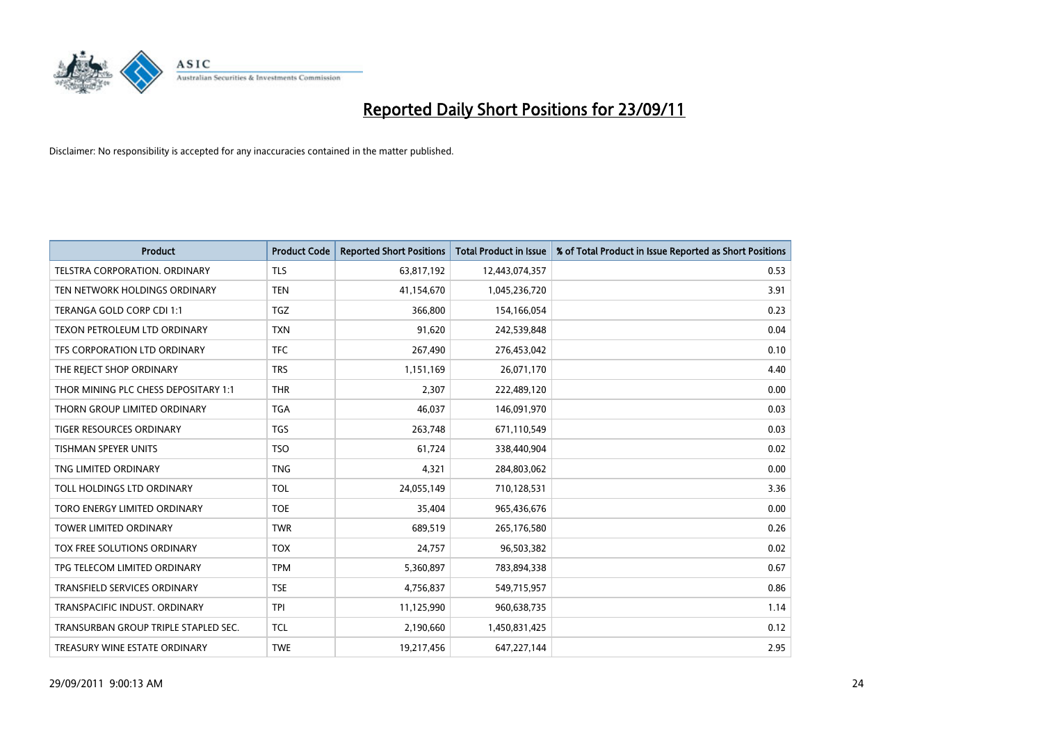

| <b>Product</b>                       | <b>Product Code</b> | <b>Reported Short Positions</b> | <b>Total Product in Issue</b> | % of Total Product in Issue Reported as Short Positions |
|--------------------------------------|---------------------|---------------------------------|-------------------------------|---------------------------------------------------------|
| TELSTRA CORPORATION, ORDINARY        | <b>TLS</b>          | 63,817,192                      | 12,443,074,357                | 0.53                                                    |
| TEN NETWORK HOLDINGS ORDINARY        | <b>TEN</b>          | 41,154,670                      | 1,045,236,720                 | 3.91                                                    |
| TERANGA GOLD CORP CDI 1:1            | <b>TGZ</b>          | 366,800                         | 154,166,054                   | 0.23                                                    |
| TEXON PETROLEUM LTD ORDINARY         | <b>TXN</b>          | 91,620                          | 242,539,848                   | 0.04                                                    |
| TFS CORPORATION LTD ORDINARY         | <b>TFC</b>          | 267,490                         | 276,453,042                   | 0.10                                                    |
| THE REJECT SHOP ORDINARY             | <b>TRS</b>          | 1,151,169                       | 26,071,170                    | 4.40                                                    |
| THOR MINING PLC CHESS DEPOSITARY 1:1 | <b>THR</b>          | 2,307                           | 222,489,120                   | 0.00                                                    |
| THORN GROUP LIMITED ORDINARY         | <b>TGA</b>          | 46,037                          | 146,091,970                   | 0.03                                                    |
| <b>TIGER RESOURCES ORDINARY</b>      | <b>TGS</b>          | 263,748                         | 671,110,549                   | 0.03                                                    |
| <b>TISHMAN SPEYER UNITS</b>          | <b>TSO</b>          | 61,724                          | 338,440,904                   | 0.02                                                    |
| TNG LIMITED ORDINARY                 | <b>TNG</b>          | 4,321                           | 284,803,062                   | 0.00                                                    |
| TOLL HOLDINGS LTD ORDINARY           | <b>TOL</b>          | 24,055,149                      | 710,128,531                   | 3.36                                                    |
| TORO ENERGY LIMITED ORDINARY         | <b>TOE</b>          | 35,404                          | 965,436,676                   | 0.00                                                    |
| <b>TOWER LIMITED ORDINARY</b>        | <b>TWR</b>          | 689,519                         | 265,176,580                   | 0.26                                                    |
| TOX FREE SOLUTIONS ORDINARY          | <b>TOX</b>          | 24,757                          | 96,503,382                    | 0.02                                                    |
| TPG TELECOM LIMITED ORDINARY         | <b>TPM</b>          | 5,360,897                       | 783,894,338                   | 0.67                                                    |
| TRANSFIELD SERVICES ORDINARY         | <b>TSE</b>          | 4,756,837                       | 549,715,957                   | 0.86                                                    |
| TRANSPACIFIC INDUST, ORDINARY        | <b>TPI</b>          | 11,125,990                      | 960,638,735                   | 1.14                                                    |
| TRANSURBAN GROUP TRIPLE STAPLED SEC. | <b>TCL</b>          | 2,190,660                       | 1,450,831,425                 | 0.12                                                    |
| TREASURY WINE ESTATE ORDINARY        | <b>TWE</b>          | 19,217,456                      | 647,227,144                   | 2.95                                                    |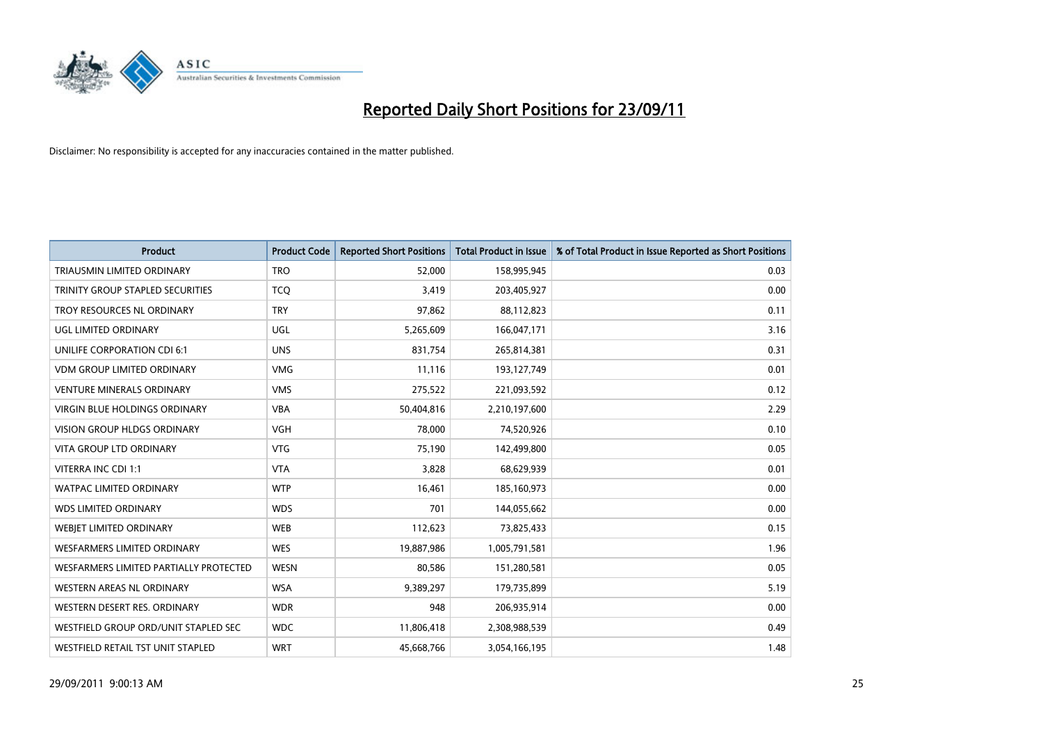

| <b>Product</b>                         | <b>Product Code</b> | <b>Reported Short Positions</b> | <b>Total Product in Issue</b> | % of Total Product in Issue Reported as Short Positions |
|----------------------------------------|---------------------|---------------------------------|-------------------------------|---------------------------------------------------------|
| <b>TRIAUSMIN LIMITED ORDINARY</b>      | <b>TRO</b>          | 52,000                          | 158,995,945                   | 0.03                                                    |
| TRINITY GROUP STAPLED SECURITIES       | <b>TCQ</b>          | 3,419                           | 203,405,927                   | 0.00                                                    |
| TROY RESOURCES NL ORDINARY             | <b>TRY</b>          | 97,862                          | 88,112,823                    | 0.11                                                    |
| UGL LIMITED ORDINARY                   | UGL                 | 5,265,609                       | 166,047,171                   | 3.16                                                    |
| UNILIFE CORPORATION CDI 6:1            | <b>UNS</b>          | 831,754                         | 265,814,381                   | 0.31                                                    |
| <b>VDM GROUP LIMITED ORDINARY</b>      | <b>VMG</b>          | 11,116                          | 193,127,749                   | 0.01                                                    |
| <b>VENTURE MINERALS ORDINARY</b>       | <b>VMS</b>          | 275,522                         | 221,093,592                   | 0.12                                                    |
| VIRGIN BLUE HOLDINGS ORDINARY          | <b>VBA</b>          | 50,404,816                      | 2,210,197,600                 | 2.29                                                    |
| <b>VISION GROUP HLDGS ORDINARY</b>     | <b>VGH</b>          | 78,000                          | 74,520,926                    | 0.10                                                    |
| <b>VITA GROUP LTD ORDINARY</b>         | <b>VTG</b>          | 75,190                          | 142,499,800                   | 0.05                                                    |
| VITERRA INC CDI 1:1                    | <b>VTA</b>          | 3,828                           | 68,629,939                    | 0.01                                                    |
| <b>WATPAC LIMITED ORDINARY</b>         | <b>WTP</b>          | 16,461                          | 185,160,973                   | 0.00                                                    |
| <b>WDS LIMITED ORDINARY</b>            | <b>WDS</b>          | 701                             | 144,055,662                   | 0.00                                                    |
| WEBIET LIMITED ORDINARY                | <b>WEB</b>          | 112,623                         | 73,825,433                    | 0.15                                                    |
| <b>WESFARMERS LIMITED ORDINARY</b>     | <b>WES</b>          | 19,887,986                      | 1,005,791,581                 | 1.96                                                    |
| WESFARMERS LIMITED PARTIALLY PROTECTED | <b>WESN</b>         | 80,586                          | 151,280,581                   | 0.05                                                    |
| <b>WESTERN AREAS NL ORDINARY</b>       | <b>WSA</b>          | 9,389,297                       | 179,735,899                   | 5.19                                                    |
| WESTERN DESERT RES. ORDINARY           | <b>WDR</b>          | 948                             | 206,935,914                   | 0.00                                                    |
| WESTFIELD GROUP ORD/UNIT STAPLED SEC   | <b>WDC</b>          | 11,806,418                      | 2,308,988,539                 | 0.49                                                    |
| WESTFIELD RETAIL TST UNIT STAPLED      | <b>WRT</b>          | 45,668,766                      | 3,054,166,195                 | 1.48                                                    |